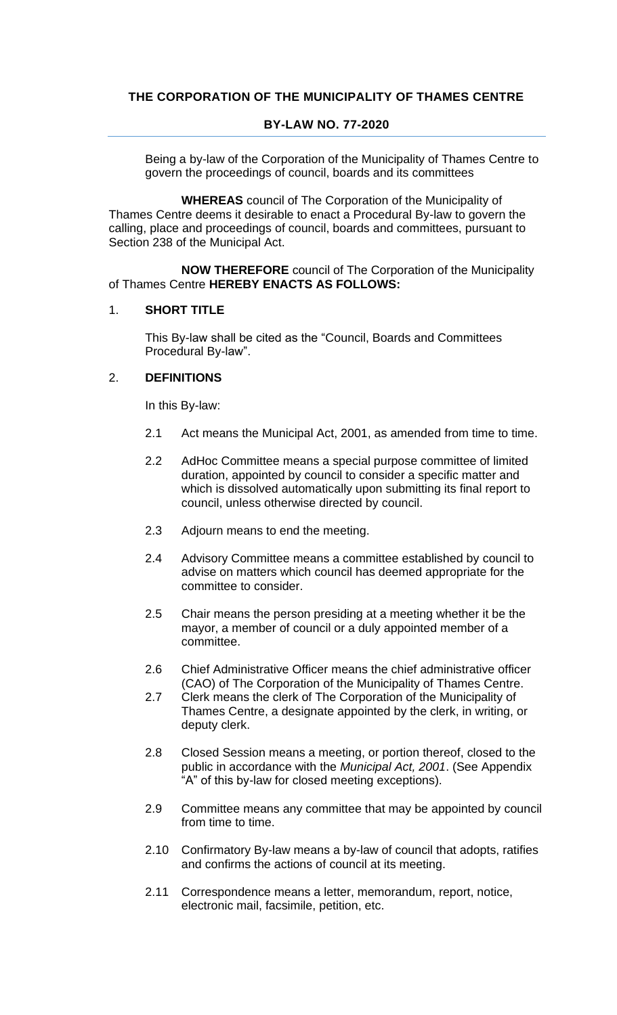# **THE CORPORATION OF THE MUNICIPALITY OF THAMES CENTRE**

## **BY-LAW NO. 77-2020**

Being a by-law of the Corporation of the Municipality of Thames Centre to govern the proceedings of council, boards and its committees

**WHEREAS** council of The Corporation of the Municipality of Thames Centre deems it desirable to enact a Procedural By-law to govern the calling, place and proceedings of council, boards and committees, pursuant to Section 238 of the Municipal Act.

**NOW THEREFORE** council of The Corporation of the Municipality of Thames Centre **HEREBY ENACTS AS FOLLOWS:**

#### 1. **SHORT TITLE**

This By-law shall be cited as the "Council, Boards and Committees Procedural By-law".

#### 2. **DEFINITIONS**

In this By-law:

- 2.1 Act means the Municipal Act, 2001, as amended from time to time.
- 2.2 AdHoc Committee means a special purpose committee of limited duration, appointed by council to consider a specific matter and which is dissolved automatically upon submitting its final report to council, unless otherwise directed by council.
- 2.3 Adjourn means to end the meeting.
- 2.4 Advisory Committee means a committee established by council to advise on matters which council has deemed appropriate for the committee to consider.
- 2.5 Chair means the person presiding at a meeting whether it be the mayor, a member of council or a duly appointed member of a committee.
- 2.6 Chief Administrative Officer means the chief administrative officer (CAO) of The Corporation of the Municipality of Thames Centre.
- 2.7 Clerk means the clerk of The Corporation of the Municipality of Thames Centre, a designate appointed by the clerk, in writing, or deputy clerk.
- 2.8 Closed Session means a meeting, or portion thereof, closed to the public in accordance with the *Municipal Act, 2001*. (See Appendix "A" of this by-law for closed meeting exceptions).
- 2.9 Committee means any committee that may be appointed by council from time to time.
- 2.10 Confirmatory By-law means a by-law of council that adopts, ratifies and confirms the actions of council at its meeting.
- 2.11 Correspondence means a letter, memorandum, report, notice, electronic mail, facsimile, petition, etc.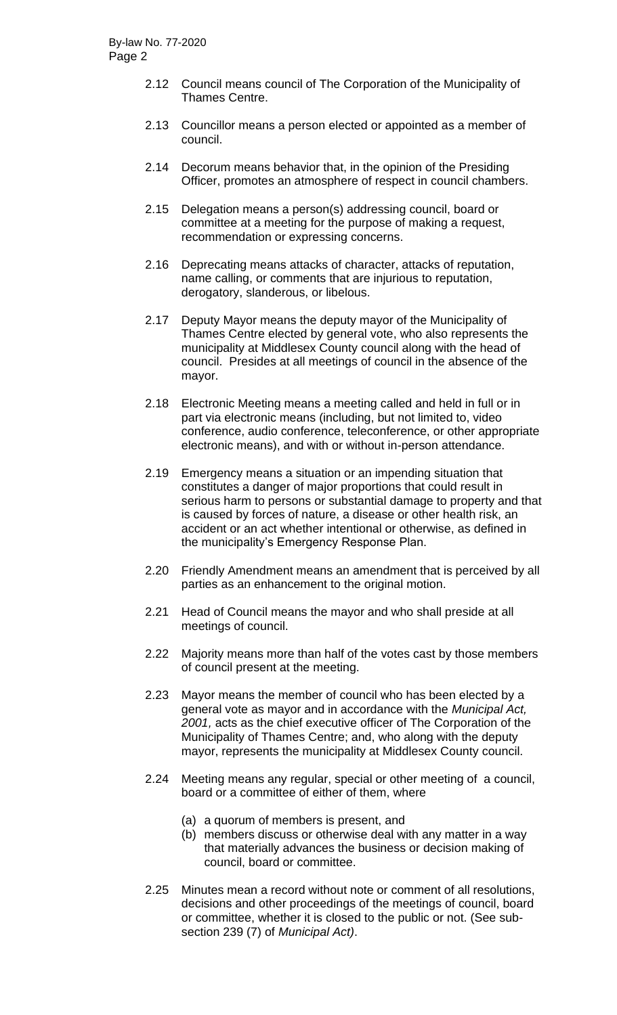- 2.12 Council means council of The Corporation of the Municipality of Thames Centre.
- 2.13 Councillor means a person elected or appointed as a member of council.
- 2.14 Decorum means behavior that, in the opinion of the Presiding Officer, promotes an atmosphere of respect in council chambers.
- 2.15 Delegation means a person(s) addressing council, board or committee at a meeting for the purpose of making a request, recommendation or expressing concerns.
- 2.16 Deprecating means attacks of character, attacks of reputation, name calling, or comments that are injurious to reputation, derogatory, slanderous, or libelous.
- 2.17 Deputy Mayor means the deputy mayor of the Municipality of Thames Centre elected by general vote, who also represents the municipality at Middlesex County council along with the head of council. Presides at all meetings of council in the absence of the mayor.
- 2.18 Electronic Meeting means a meeting called and held in full or in part via electronic means (including, but not limited to, video conference, audio conference, teleconference, or other appropriate electronic means), and with or without in-person attendance.
- 2.19 Emergency means a situation or an impending situation that constitutes a danger of major proportions that could result in serious harm to persons or substantial damage to property and that is caused by forces of nature, a disease or other health risk, an accident or an act whether intentional or otherwise, as defined in the municipality's Emergency Response Plan.
- 2.20 Friendly Amendment means an amendment that is perceived by all parties as an enhancement to the original motion.
- 2.21 Head of Council means the mayor and who shall preside at all meetings of council.
- 2.22 Majority means more than half of the votes cast by those members of council present at the meeting.
- 2.23 Mayor means the member of council who has been elected by a general vote as mayor and in accordance with the *Municipal Act, 2001,* acts as the chief executive officer of The Corporation of the Municipality of Thames Centre; and, who along with the deputy mayor, represents the municipality at Middlesex County council.
- 2.24 Meeting means any regular, special or other meeting of a council, board or a committee of either of them, where
	- (a) a quorum of members is present, and
	- (b) members discuss or otherwise deal with any matter in a way that materially advances the business or decision making of council, board or committee.
- 2.25 Minutes mean a record without note or comment of all resolutions, decisions and other proceedings of the meetings of council, board or committee, whether it is closed to the public or not. (See subsection 239 (7) of *Municipal Act)*.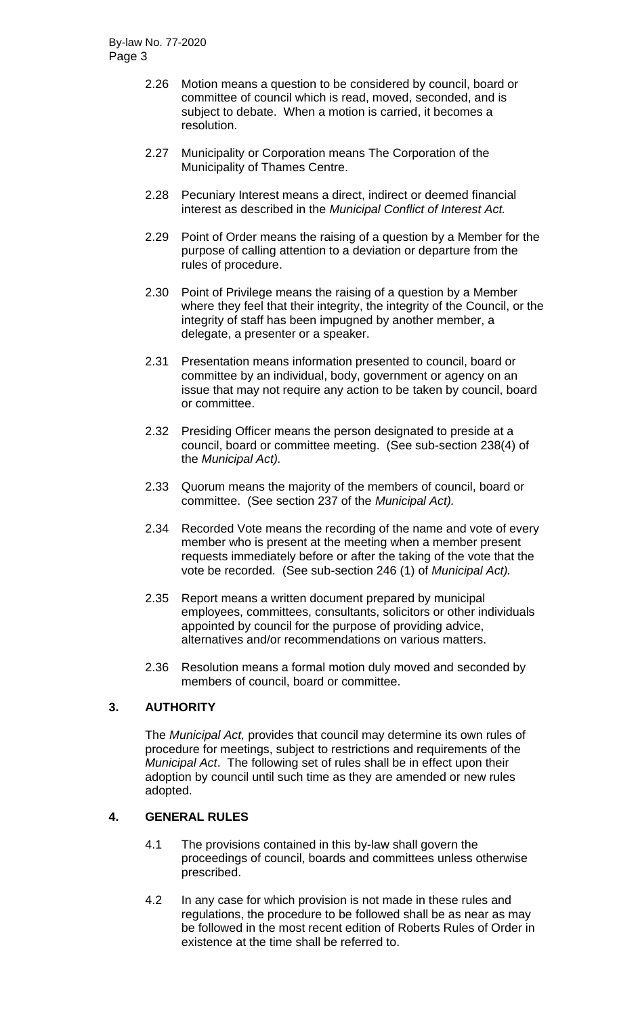- 2.26 Motion means a question to be considered by council, board or committee of council which is read, moved, seconded, and is subject to debate. When a motion is carried, it becomes a resolution.
- 2.27 Municipality or Corporation means The Corporation of the Municipality of Thames Centre.
- 2.28 Pecuniary Interest means a direct, indirect or deemed financial interest as described in the *Municipal Conflict of Interest Act.*
- 2.29 Point of Order means the raising of a question by a Member for the purpose of calling attention to a deviation or departure from the rules of procedure.
- 2.30 Point of Privilege means the raising of a question by a Member where they feel that their integrity, the integrity of the Council, or the integrity of staff has been impugned by another member, a delegate, a presenter or a speaker.
- 2.31 Presentation means information presented to council, board or committee by an individual, body, government or agency on an issue that may not require any action to be taken by council, board or committee.
- 2.32 Presiding Officer means the person designated to preside at a council, board or committee meeting. (See sub-section 238(4) of the *Municipal Act).*
- 2.33 Quorum means the majority of the members of council, board or committee. (See section 237 of the *Municipal Act).*
- 2.34 Recorded Vote means the recording of the name and vote of every member who is present at the meeting when a member present requests immediately before or after the taking of the vote that the vote be recorded. (See sub-section 246 (1) of *Municipal Act).*
- 2.35 Report means a written document prepared by municipal employees, committees, consultants, solicitors or other individuals appointed by council for the purpose of providing advice, alternatives and/or recommendations on various matters.
- 2.36 Resolution means a formal motion duly moved and seconded by members of council, board or committee.

## **3. AUTHORITY**

The *Municipal Act,* provides that council may determine its own rules of procedure for meetings, subject to restrictions and requirements of the *Municipal Act*. The following set of rules shall be in effect upon their adoption by council until such time as they are amended or new rules adopted.

## **4. GENERAL RULES**

- 4.1 The provisions contained in this by-law shall govern the proceedings of council, boards and committees unless otherwise prescribed.
- 4.2 In any case for which provision is not made in these rules and regulations, the procedure to be followed shall be as near as may be followed in the most recent edition of Roberts Rules of Order in existence at the time shall be referred to.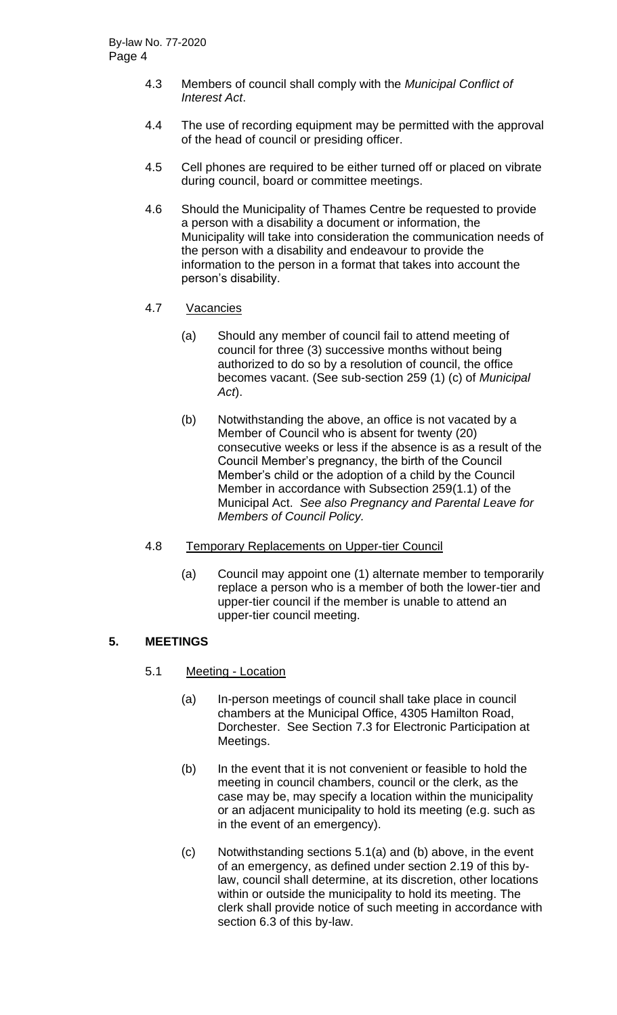- 4.3 Members of council shall comply with the *Municipal Conflict of Interest Act*.
- 4.4 The use of recording equipment may be permitted with the approval of the head of council or presiding officer.
- 4.5 Cell phones are required to be either turned off or placed on vibrate during council, board or committee meetings.
- 4.6 Should the Municipality of Thames Centre be requested to provide a person with a disability a document or information, the Municipality will take into consideration the communication needs of the person with a disability and endeavour to provide the information to the person in a format that takes into account the person's disability.
- 4.7 Vacancies
	- (a) Should any member of council fail to attend meeting of council for three (3) successive months without being authorized to do so by a resolution of council, the office becomes vacant. (See sub-section 259 (1) (c) of *Municipal Act*).
	- (b) Notwithstanding the above, an office is not vacated by a Member of Council who is absent for twenty (20) consecutive weeks or less if the absence is as a result of the Council Member's pregnancy, the birth of the Council Member's child or the adoption of a child by the Council Member in accordance with Subsection 259(1.1) of the Municipal Act. *See also Pregnancy and Parental Leave for Members of Council Policy.*
- 4.8 Temporary Replacements on Upper-tier Council
	- (a) Council may appoint one (1) alternate member to temporarily replace a person who is a member of both the lower-tier and upper-tier council if the member is unable to attend an upper-tier council meeting.

# **5. MEETINGS**

- 5.1 Meeting Location
	- (a) In-person meetings of council shall take place in council chambers at the Municipal Office, 4305 Hamilton Road, Dorchester. See Section 7.3 for Electronic Participation at Meetings.
	- (b) In the event that it is not convenient or feasible to hold the meeting in council chambers, council or the clerk, as the case may be, may specify a location within the municipality or an adjacent municipality to hold its meeting (e.g. such as in the event of an emergency).
	- (c) Notwithstanding sections 5.1(a) and (b) above, in the event of an emergency, as defined under section 2.19 of this bylaw, council shall determine, at its discretion, other locations within or outside the municipality to hold its meeting. The clerk shall provide notice of such meeting in accordance with section 6.3 of this by-law.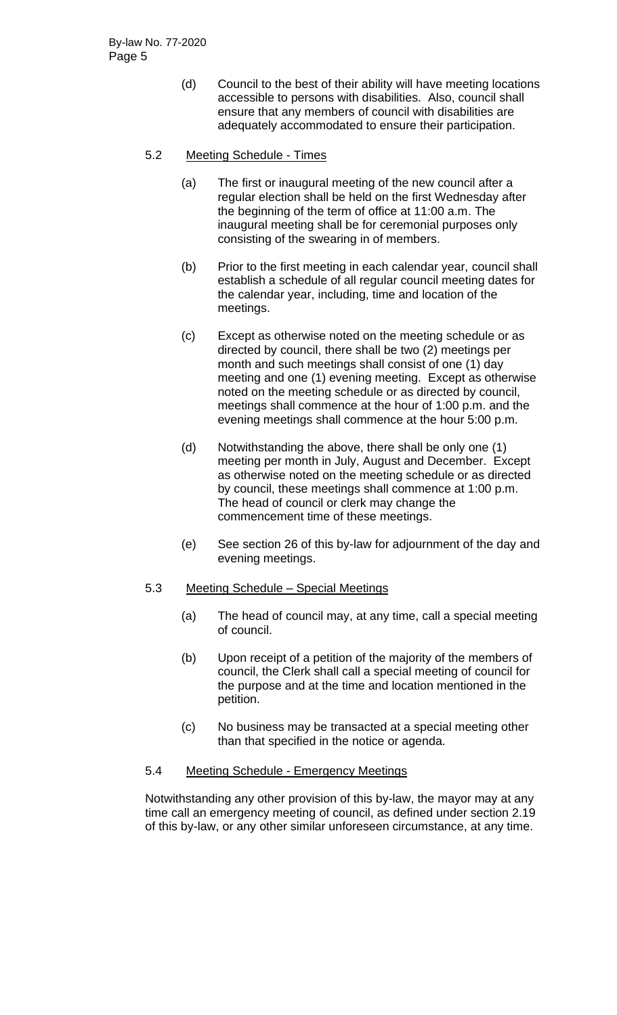(d) Council to the best of their ability will have meeting locations accessible to persons with disabilities. Also, council shall ensure that any members of council with disabilities are adequately accommodated to ensure their participation.

## 5.2 Meeting Schedule - Times

- (a) The first or inaugural meeting of the new council after a regular election shall be held on the first Wednesday after the beginning of the term of office at 11:00 a.m. The inaugural meeting shall be for ceremonial purposes only consisting of the swearing in of members.
- (b) Prior to the first meeting in each calendar year, council shall establish a schedule of all regular council meeting dates for the calendar year, including, time and location of the meetings.
- (c) Except as otherwise noted on the meeting schedule or as directed by council, there shall be two (2) meetings per month and such meetings shall consist of one (1) day meeting and one (1) evening meeting. Except as otherwise noted on the meeting schedule or as directed by council, meetings shall commence at the hour of 1:00 p.m. and the evening meetings shall commence at the hour 5:00 p.m.
- (d) Notwithstanding the above, there shall be only one (1) meeting per month in July, August and December. Except as otherwise noted on the meeting schedule or as directed by council, these meetings shall commence at 1:00 p.m. The head of council or clerk may change the commencement time of these meetings.
- (e) See section 26 of this by-law for adjournment of the day and evening meetings.

## 5.3 Meeting Schedule – Special Meetings

- (a) The head of council may, at any time, call a special meeting of council.
- (b) Upon receipt of a petition of the majority of the members of council, the Clerk shall call a special meeting of council for the purpose and at the time and location mentioned in the petition.
- (c) No business may be transacted at a special meeting other than that specified in the notice or agenda.

## 5.4 Meeting Schedule - Emergency Meetings

Notwithstanding any other provision of this by-law, the mayor may at any time call an emergency meeting of council, as defined under section 2.19 of this by-law, or any other similar unforeseen circumstance, at any time.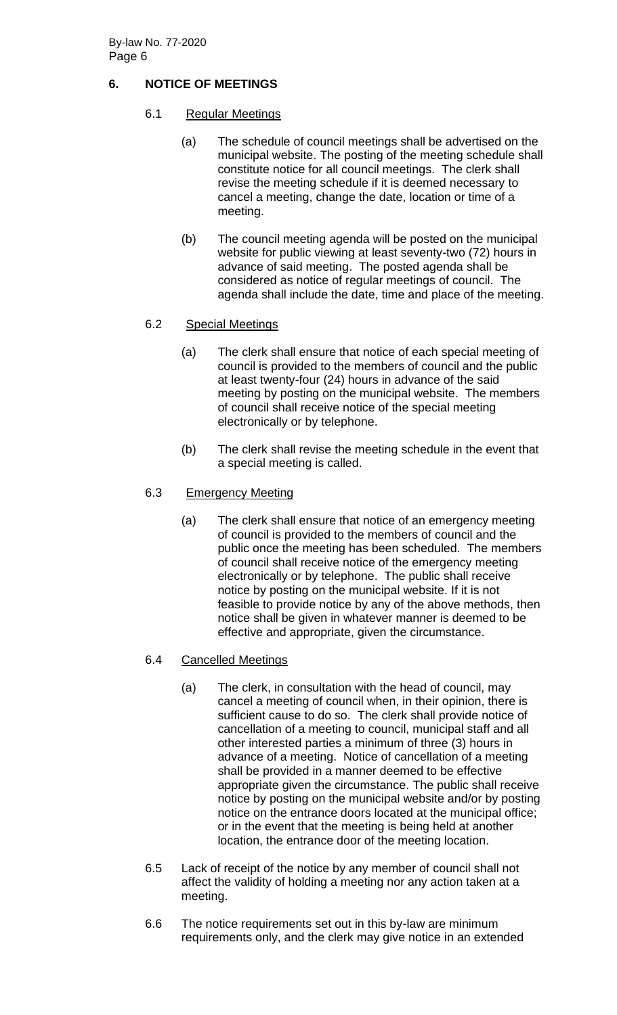# **6. NOTICE OF MEETINGS**

## 6.1 Regular Meetings

- (a) The schedule of council meetings shall be advertised on the municipal website. The posting of the meeting schedule shall constitute notice for all council meetings. The clerk shall revise the meeting schedule if it is deemed necessary to cancel a meeting, change the date, location or time of a meeting.
- (b) The council meeting agenda will be posted on the municipal website for public viewing at least seventy-two (72) hours in advance of said meeting. The posted agenda shall be considered as notice of regular meetings of council. The agenda shall include the date, time and place of the meeting.

# 6.2 Special Meetings

- (a) The clerk shall ensure that notice of each special meeting of council is provided to the members of council and the public at least twenty-four (24) hours in advance of the said meeting by posting on the municipal website. The members of council shall receive notice of the special meeting electronically or by telephone.
- (b) The clerk shall revise the meeting schedule in the event that a special meeting is called.

## 6.3 Emergency Meeting

(a) The clerk shall ensure that notice of an emergency meeting of council is provided to the members of council and the public once the meeting has been scheduled. The members of council shall receive notice of the emergency meeting electronically or by telephone. The public shall receive notice by posting on the municipal website. If it is not feasible to provide notice by any of the above methods, then notice shall be given in whatever manner is deemed to be effective and appropriate, given the circumstance.

## 6.4 Cancelled Meetings

- (a) The clerk, in consultation with the head of council, may cancel a meeting of council when, in their opinion, there is sufficient cause to do so. The clerk shall provide notice of cancellation of a meeting to council, municipal staff and all other interested parties a minimum of three (3) hours in advance of a meeting. Notice of cancellation of a meeting shall be provided in a manner deemed to be effective appropriate given the circumstance. The public shall receive notice by posting on the municipal website and/or by posting notice on the entrance doors located at the municipal office; or in the event that the meeting is being held at another location, the entrance door of the meeting location.
- 6.5 Lack of receipt of the notice by any member of council shall not affect the validity of holding a meeting nor any action taken at a meeting.
- 6.6 The notice requirements set out in this by-law are minimum requirements only, and the clerk may give notice in an extended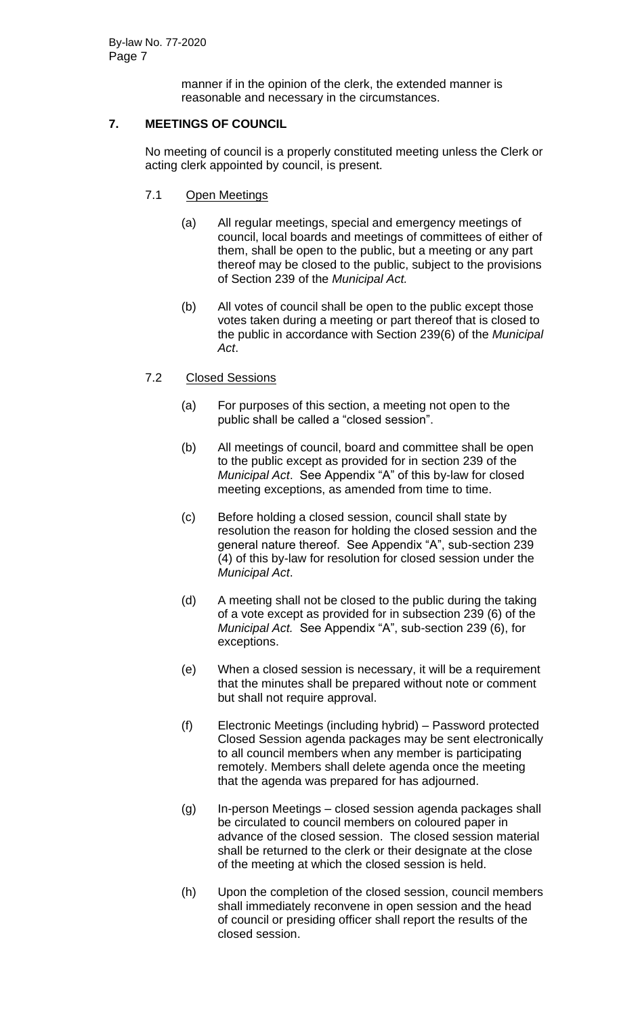manner if in the opinion of the clerk, the extended manner is reasonable and necessary in the circumstances.

# **7. MEETINGS OF COUNCIL**

No meeting of council is a properly constituted meeting unless the Clerk or acting clerk appointed by council, is present.

- 7.1 Open Meetings
	- (a) All regular meetings, special and emergency meetings of council, local boards and meetings of committees of either of them, shall be open to the public, but a meeting or any part thereof may be closed to the public, subject to the provisions of Section 239 of the *Municipal Act.*
	- (b) All votes of council shall be open to the public except those votes taken during a meeting or part thereof that is closed to the public in accordance with Section 239(6) of the *Municipal Act*.
- 7.2 Closed Sessions
	- (a) For purposes of this section, a meeting not open to the public shall be called a "closed session".
	- (b) All meetings of council, board and committee shall be open to the public except as provided for in section 239 of the *Municipal Act*. See Appendix "A" of this by-law for closed meeting exceptions, as amended from time to time.
	- (c) Before holding a closed session, council shall state by resolution the reason for holding the closed session and the general nature thereof. See Appendix "A", sub-section 239 (4) of this by-law for resolution for closed session under the *Municipal Act*.
	- (d) A meeting shall not be closed to the public during the taking of a vote except as provided for in subsection 239 (6) of the *Municipal Act.* See Appendix "A", sub-section 239 (6), for exceptions.
	- (e) When a closed session is necessary, it will be a requirement that the minutes shall be prepared without note or comment but shall not require approval.
	- (f) Electronic Meetings (including hybrid) Password protected Closed Session agenda packages may be sent electronically to all council members when any member is participating remotely. Members shall delete agenda once the meeting that the agenda was prepared for has adjourned.
	- (g) In-person Meetings closed session agenda packages shall be circulated to council members on coloured paper in advance of the closed session. The closed session material shall be returned to the clerk or their designate at the close of the meeting at which the closed session is held.
	- (h) Upon the completion of the closed session, council members shall immediately reconvene in open session and the head of council or presiding officer shall report the results of the closed session.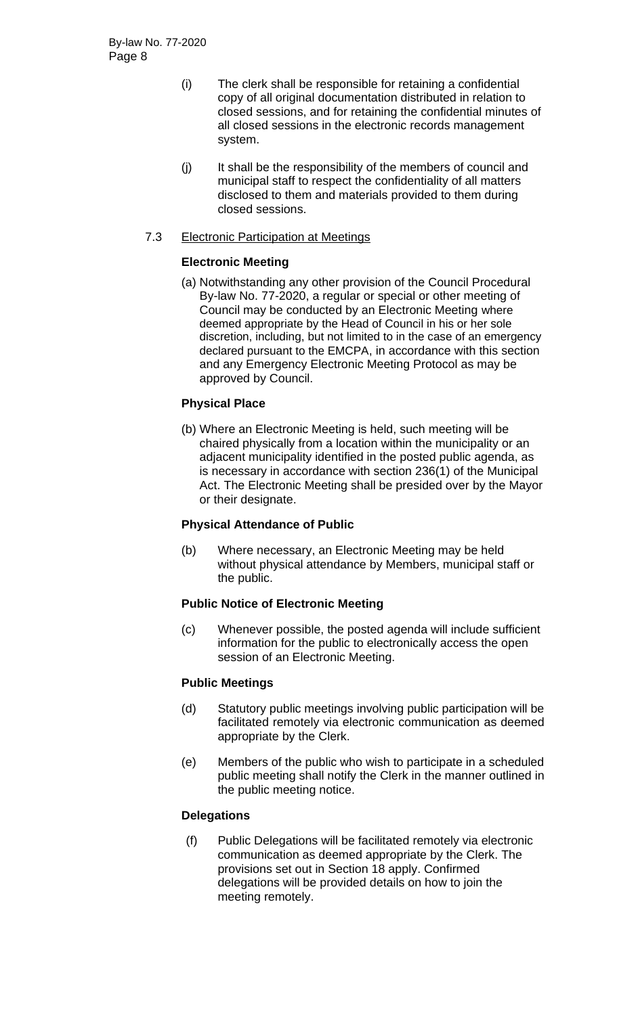- (i) The clerk shall be responsible for retaining a confidential copy of all original documentation distributed in relation to closed sessions, and for retaining the confidential minutes of all closed sessions in the electronic records management system.
- (j) It shall be the responsibility of the members of council and municipal staff to respect the confidentiality of all matters disclosed to them and materials provided to them during closed sessions.

## 7.3 Electronic Participation at Meetings

# **Electronic Meeting**

(a) Notwithstanding any other provision of the Council Procedural By-law No. 77-2020, a regular or special or other meeting of Council may be conducted by an Electronic Meeting where deemed appropriate by the Head of Council in his or her sole discretion, including, but not limited to in the case of an emergency declared pursuant to the EMCPA, in accordance with this section and any Emergency Electronic Meeting Protocol as may be approved by Council.

# **Physical Place**

(b) Where an Electronic Meeting is held, such meeting will be chaired physically from a location within the municipality or an adjacent municipality identified in the posted public agenda, as is necessary in accordance with section 236(1) of the Municipal Act. The Electronic Meeting shall be presided over by the Mayor or their designate.

## **Physical Attendance of Public**

(b) Where necessary, an Electronic Meeting may be held without physical attendance by Members, municipal staff or the public.

## **Public Notice of Electronic Meeting**

(c) Whenever possible, the posted agenda will include sufficient information for the public to electronically access the open session of an Electronic Meeting.

## **Public Meetings**

- (d) Statutory public meetings involving public participation will be facilitated remotely via electronic communication as deemed appropriate by the Clerk.
- (e) Members of the public who wish to participate in a scheduled public meeting shall notify the Clerk in the manner outlined in the public meeting notice.

## **Delegations**

(f) Public Delegations will be facilitated remotely via electronic communication as deemed appropriate by the Clerk. The provisions set out in Section 18 apply. Confirmed delegations will be provided details on how to join the meeting remotely.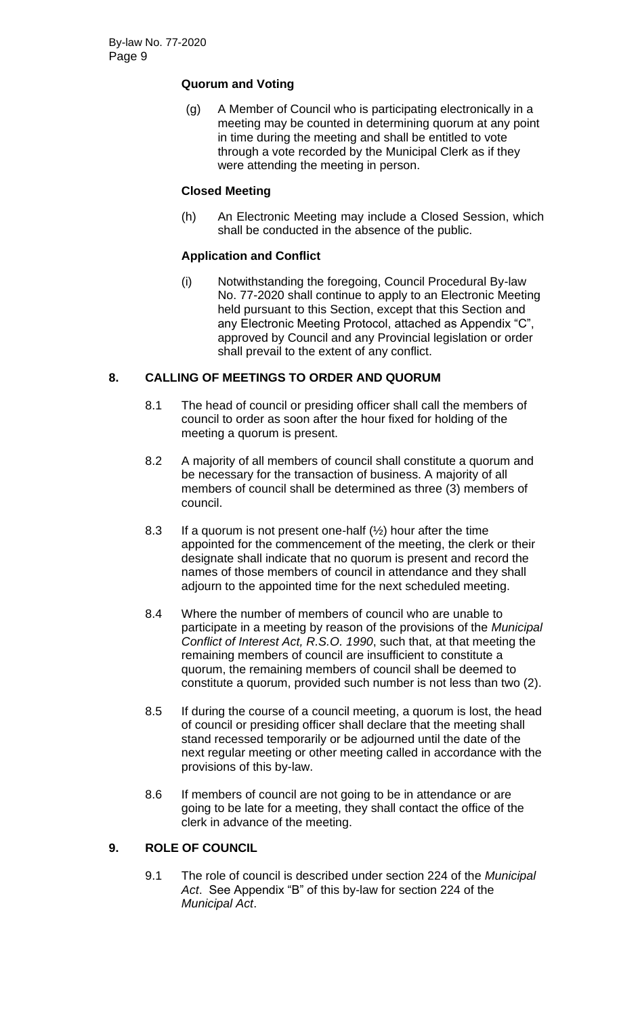## **Quorum and Voting**

(g) A Member of Council who is participating electronically in a meeting may be counted in determining quorum at any point in time during the meeting and shall be entitled to vote through a vote recorded by the Municipal Clerk as if they were attending the meeting in person.

## **Closed Meeting**

(h) An Electronic Meeting may include a Closed Session, which shall be conducted in the absence of the public.

# **Application and Conflict**

(i) Notwithstanding the foregoing, Council Procedural By-law No. 77-2020 shall continue to apply to an Electronic Meeting held pursuant to this Section, except that this Section and any Electronic Meeting Protocol, attached as Appendix "C", approved by Council and any Provincial legislation or order shall prevail to the extent of any conflict.

# **8. CALLING OF MEETINGS TO ORDER AND QUORUM**

- 8.1 The head of council or presiding officer shall call the members of council to order as soon after the hour fixed for holding of the meeting a quorum is present.
- 8.2 A majority of all members of council shall constitute a quorum and be necessary for the transaction of business. A majority of all members of council shall be determined as three (3) members of council.
- 8.3 If a quorum is not present one-half  $(\frac{1}{2})$  hour after the time appointed for the commencement of the meeting, the clerk or their designate shall indicate that no quorum is present and record the names of those members of council in attendance and they shall adjourn to the appointed time for the next scheduled meeting.
- 8.4 Where the number of members of council who are unable to participate in a meeting by reason of the provisions of the *Municipal Conflict of Interest Act, R.S.O. 1990*, such that, at that meeting the remaining members of council are insufficient to constitute a quorum, the remaining members of council shall be deemed to constitute a quorum, provided such number is not less than two (2).
- 8.5 If during the course of a council meeting, a quorum is lost, the head of council or presiding officer shall declare that the meeting shall stand recessed temporarily or be adjourned until the date of the next regular meeting or other meeting called in accordance with the provisions of this by-law.
- 8.6 If members of council are not going to be in attendance or are going to be late for a meeting, they shall contact the office of the clerk in advance of the meeting.

# **9. ROLE OF COUNCIL**

9.1 The role of council is described under section 224 of the *Municipal Act*. See Appendix "B" of this by-law for section 224 of the *Municipal Act*.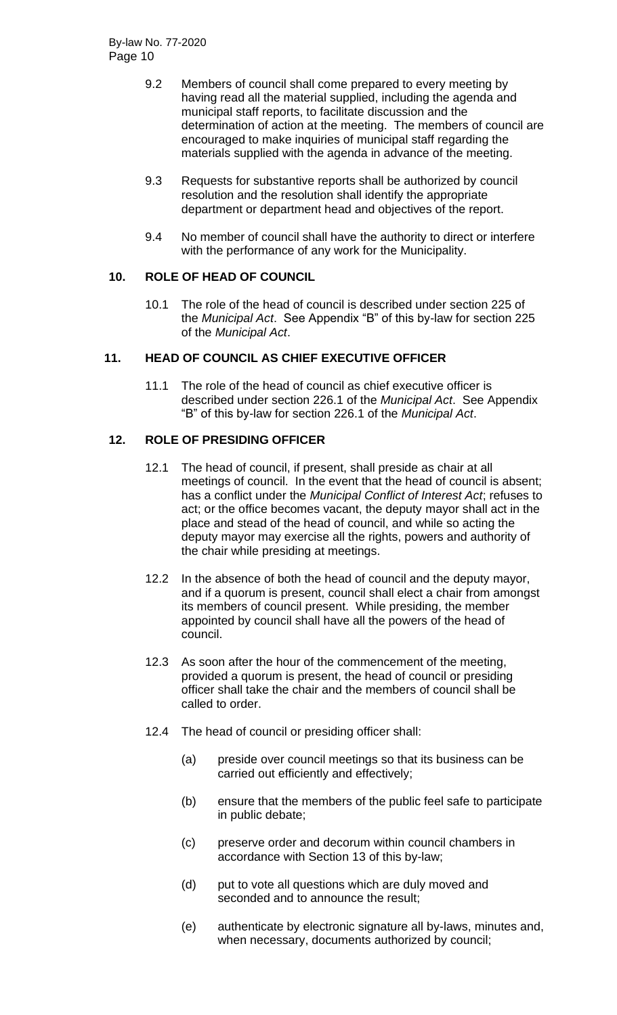- 9.2 Members of council shall come prepared to every meeting by having read all the material supplied, including the agenda and municipal staff reports, to facilitate discussion and the determination of action at the meeting. The members of council are encouraged to make inquiries of municipal staff regarding the materials supplied with the agenda in advance of the meeting.
- 9.3 Requests for substantive reports shall be authorized by council resolution and the resolution shall identify the appropriate department or department head and objectives of the report.
- 9.4 No member of council shall have the authority to direct or interfere with the performance of any work for the Municipality.

# **10. ROLE OF HEAD OF COUNCIL**

10.1 The role of the head of council is described under section 225 of the *Municipal Act*. See Appendix "B" of this by-law for section 225 of the *Municipal Act*.

## **11. HEAD OF COUNCIL AS CHIEF EXECUTIVE OFFICER**

11.1 The role of the head of council as chief executive officer is described under section 226.1 of the *Municipal Act*. See Appendix "B" of this by-law for section 226.1 of the *Municipal Act*.

# **12. ROLE OF PRESIDING OFFICER**

- 12.1 The head of council, if present, shall preside as chair at all meetings of council. In the event that the head of council is absent; has a conflict under the *Municipal Conflict of Interest Act*; refuses to act; or the office becomes vacant, the deputy mayor shall act in the place and stead of the head of council, and while so acting the deputy mayor may exercise all the rights, powers and authority of the chair while presiding at meetings.
- 12.2 In the absence of both the head of council and the deputy mayor, and if a quorum is present, council shall elect a chair from amongst its members of council present. While presiding, the member appointed by council shall have all the powers of the head of council.
- 12.3 As soon after the hour of the commencement of the meeting, provided a quorum is present, the head of council or presiding officer shall take the chair and the members of council shall be called to order.
- 12.4 The head of council or presiding officer shall:
	- (a) preside over council meetings so that its business can be carried out efficiently and effectively;
	- (b) ensure that the members of the public feel safe to participate in public debate;
	- (c) preserve order and decorum within council chambers in accordance with Section 13 of this by-law;
	- (d) put to vote all questions which are duly moved and seconded and to announce the result;
	- (e) authenticate by electronic signature all by-laws, minutes and, when necessary, documents authorized by council;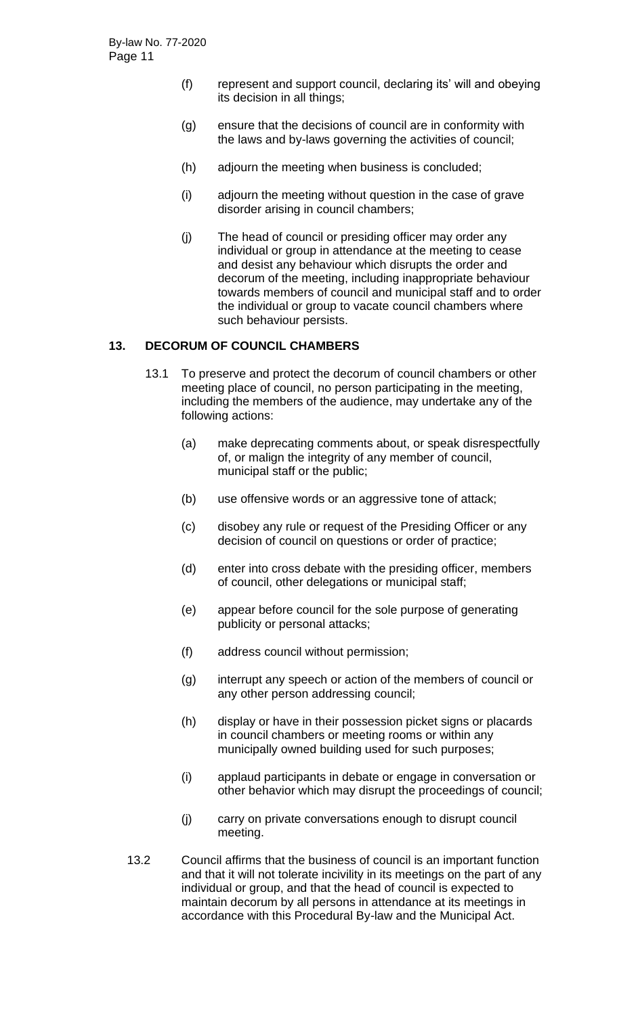- (f) represent and support council, declaring its' will and obeying its decision in all things;
- (g) ensure that the decisions of council are in conformity with the laws and by-laws governing the activities of council;
- (h) adjourn the meeting when business is concluded;
- (i) adjourn the meeting without question in the case of grave disorder arising in council chambers;
- (j) The head of council or presiding officer may order any individual or group in attendance at the meeting to cease and desist any behaviour which disrupts the order and decorum of the meeting, including inappropriate behaviour towards members of council and municipal staff and to order the individual or group to vacate council chambers where such behaviour persists.

#### **13. DECORUM OF COUNCIL CHAMBERS**

- 13.1 To preserve and protect the decorum of council chambers or other meeting place of council, no person participating in the meeting, including the members of the audience, may undertake any of the following actions:
	- (a) make deprecating comments about, or speak disrespectfully of, or malign the integrity of any member of council, municipal staff or the public;
	- (b) use offensive words or an aggressive tone of attack;
	- (c) disobey any rule or request of the Presiding Officer or any decision of council on questions or order of practice;
	- (d) enter into cross debate with the presiding officer, members of council, other delegations or municipal staff;
	- (e) appear before council for the sole purpose of generating publicity or personal attacks;
	- (f) address council without permission;
	- (g) interrupt any speech or action of the members of council or any other person addressing council;
	- (h) display or have in their possession picket signs or placards in council chambers or meeting rooms or within any municipally owned building used for such purposes;
	- (i) applaud participants in debate or engage in conversation or other behavior which may disrupt the proceedings of council;
	- (j) carry on private conversations enough to disrupt council meeting.
- 13.2 Council affirms that the business of council is an important function and that it will not tolerate incivility in its meetings on the part of any individual or group, and that the head of council is expected to maintain decorum by all persons in attendance at its meetings in accordance with this Procedural By-law and the Municipal Act.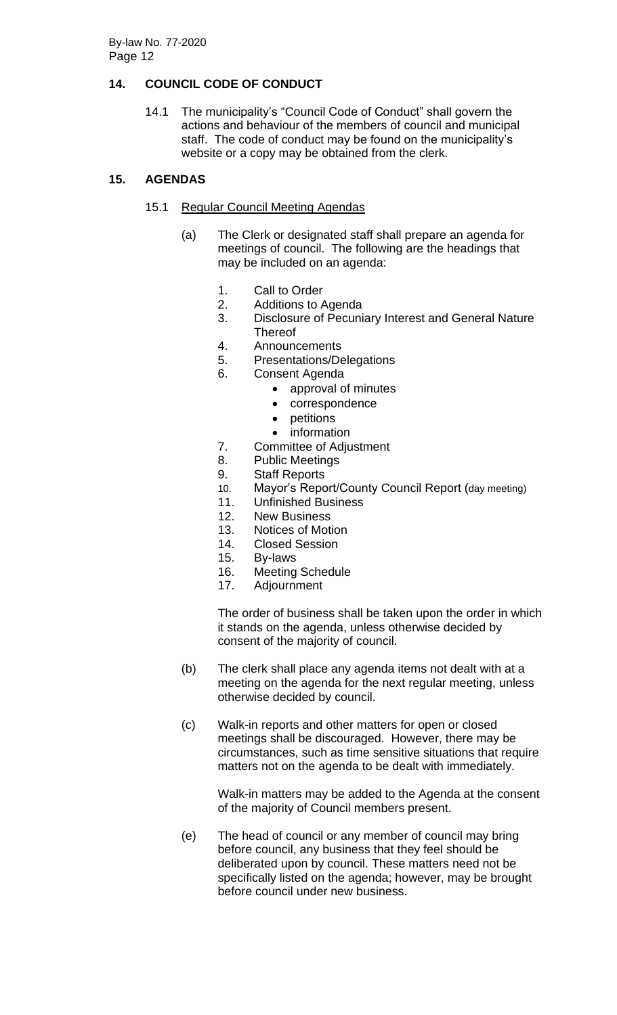# **14. COUNCIL CODE OF CONDUCT**

14.1 The municipality's "Council Code of Conduct" shall govern the actions and behaviour of the members of council and municipal staff. The code of conduct may be found on the municipality's website or a copy may be obtained from the clerk.

# **15. AGENDAS**

## 15.1 Regular Council Meeting Agendas

- (a) The Clerk or designated staff shall prepare an agenda for meetings of council. The following are the headings that may be included on an agenda:
	- 1. Call to Order
	- 2. Additions to Agenda
	- 3. Disclosure of Pecuniary Interest and General Nature **Thereof**
	- 4. Announcements
	- 5. Presentations/Delegations
	- 6. Consent Agenda
		- approval of minutes
		- correspondence
		- petitions
		- information
	- 7. Committee of Adjustment
	- 8. Public Meetings
	- 9. Staff Reports
	- 10. Mayor's Report/County Council Report (day meeting)
	- 11. Unfinished Business
	- 12. New Business
	- 13. Notices of Motion
	- 14. Closed Session
	- 15. By-laws
	- 16. Meeting Schedule
	- 17. Adjournment

The order of business shall be taken upon the order in which it stands on the agenda, unless otherwise decided by consent of the majority of council.

- (b) The clerk shall place any agenda items not dealt with at a meeting on the agenda for the next regular meeting, unless otherwise decided by council.
- (c) Walk-in reports and other matters for open or closed meetings shall be discouraged. However, there may be circumstances, such as time sensitive situations that require matters not on the agenda to be dealt with immediately.

Walk-in matters may be added to the Agenda at the consent of the majority of Council members present.

(e) The head of council or any member of council may bring before council, any business that they feel should be deliberated upon by council. These matters need not be specifically listed on the agenda; however, may be brought before council under new business.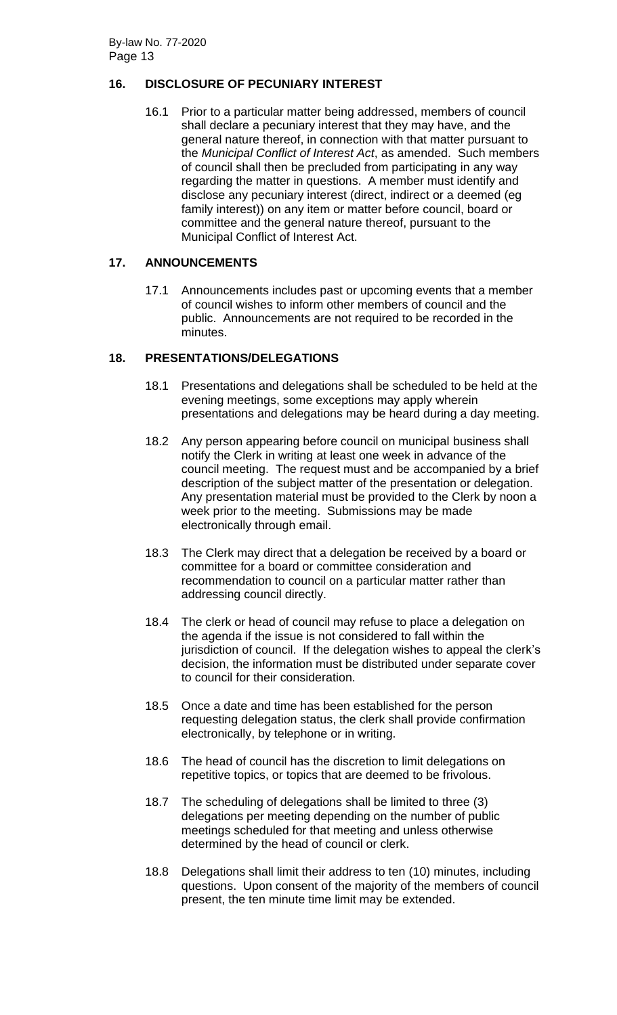# **16. DISCLOSURE OF PECUNIARY INTEREST**

16.1 Prior to a particular matter being addressed, members of council shall declare a pecuniary interest that they may have, and the general nature thereof, in connection with that matter pursuant to the *Municipal Conflict of Interest Act*, as amended. Such members of council shall then be precluded from participating in any way regarding the matter in questions. A member must identify and disclose any pecuniary interest (direct, indirect or a deemed (eg family interest)) on any item or matter before council, board or committee and the general nature thereof, pursuant to the Municipal Conflict of Interest Act.

# **17. ANNOUNCEMENTS**

17.1 Announcements includes past or upcoming events that a member of council wishes to inform other members of council and the public. Announcements are not required to be recorded in the minutes.

# **18. PRESENTATIONS/DELEGATIONS**

- 18.1 Presentations and delegations shall be scheduled to be held at the evening meetings, some exceptions may apply wherein presentations and delegations may be heard during a day meeting.
- 18.2 Any person appearing before council on municipal business shall notify the Clerk in writing at least one week in advance of the council meeting. The request must and be accompanied by a brief description of the subject matter of the presentation or delegation. Any presentation material must be provided to the Clerk by noon a week prior to the meeting. Submissions may be made electronically through email.
- 18.3 The Clerk may direct that a delegation be received by a board or committee for a board or committee consideration and recommendation to council on a particular matter rather than addressing council directly.
- 18.4 The clerk or head of council may refuse to place a delegation on the agenda if the issue is not considered to fall within the jurisdiction of council. If the delegation wishes to appeal the clerk's decision, the information must be distributed under separate cover to council for their consideration.
- 18.5 Once a date and time has been established for the person requesting delegation status, the clerk shall provide confirmation electronically, by telephone or in writing.
- 18.6 The head of council has the discretion to limit delegations on repetitive topics, or topics that are deemed to be frivolous.
- 18.7 The scheduling of delegations shall be limited to three (3) delegations per meeting depending on the number of public meetings scheduled for that meeting and unless otherwise determined by the head of council or clerk.
- 18.8 Delegations shall limit their address to ten (10) minutes, including questions. Upon consent of the majority of the members of council present, the ten minute time limit may be extended.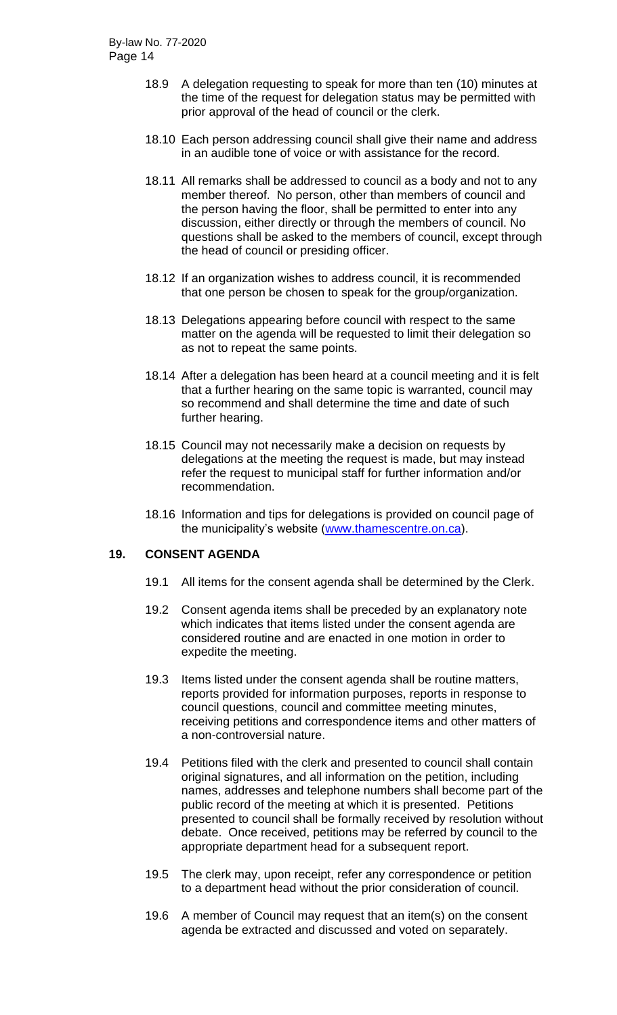- 18.9 A delegation requesting to speak for more than ten (10) minutes at the time of the request for delegation status may be permitted with prior approval of the head of council or the clerk.
- 18.10 Each person addressing council shall give their name and address in an audible tone of voice or with assistance for the record.
- 18.11 All remarks shall be addressed to council as a body and not to any member thereof. No person, other than members of council and the person having the floor, shall be permitted to enter into any discussion, either directly or through the members of council. No questions shall be asked to the members of council, except through the head of council or presiding officer.
- 18.12 If an organization wishes to address council, it is recommended that one person be chosen to speak for the group/organization.
- 18.13 Delegations appearing before council with respect to the same matter on the agenda will be requested to limit their delegation so as not to repeat the same points.
- 18.14 After a delegation has been heard at a council meeting and it is felt that a further hearing on the same topic is warranted, council may so recommend and shall determine the time and date of such further hearing.
- 18.15 Council may not necessarily make a decision on requests by delegations at the meeting the request is made, but may instead refer the request to municipal staff for further information and/or recommendation.
- 18.16 Information and tips for delegations is provided on council page of the municipality's website [\(www.thamescentre.on.ca\)](http://www.thamescentre.on.ca/).

## **19. CONSENT AGENDA**

- 19.1 All items for the consent agenda shall be determined by the Clerk.
- 19.2 Consent agenda items shall be preceded by an explanatory note which indicates that items listed under the consent agenda are considered routine and are enacted in one motion in order to expedite the meeting.
- 19.3 Items listed under the consent agenda shall be routine matters, reports provided for information purposes, reports in response to council questions, council and committee meeting minutes, receiving petitions and correspondence items and other matters of a non-controversial nature.
- 19.4 Petitions filed with the clerk and presented to council shall contain original signatures, and all information on the petition, including names, addresses and telephone numbers shall become part of the public record of the meeting at which it is presented. Petitions presented to council shall be formally received by resolution without debate. Once received, petitions may be referred by council to the appropriate department head for a subsequent report.
- 19.5 The clerk may, upon receipt, refer any correspondence or petition to a department head without the prior consideration of council.
- 19.6 A member of Council may request that an item(s) on the consent agenda be extracted and discussed and voted on separately.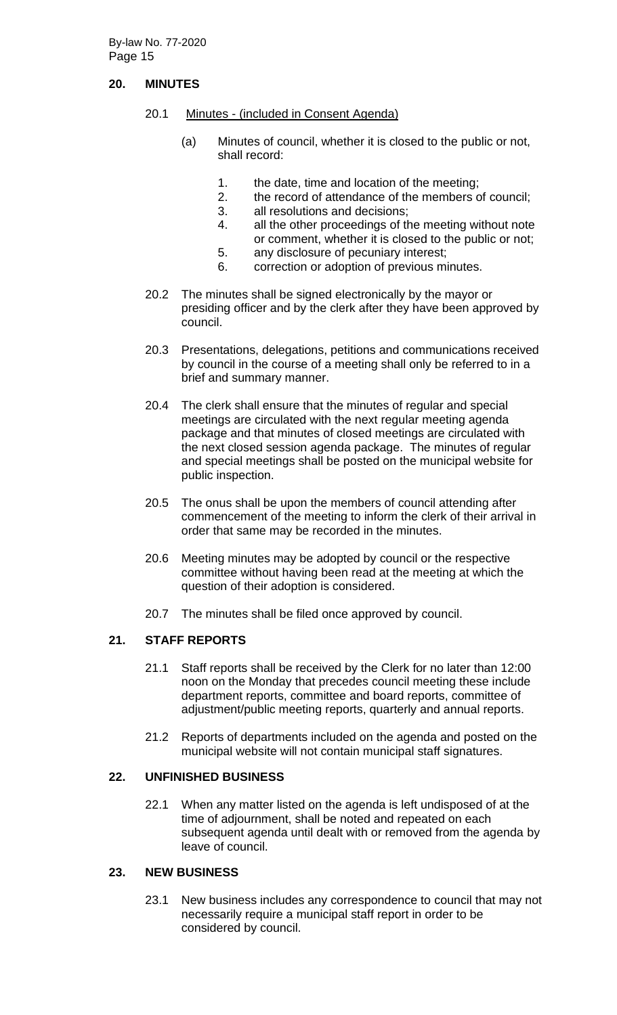# **20. MINUTES**

- 20.1 Minutes (included in Consent Agenda)
	- (a) Minutes of council, whether it is closed to the public or not, shall record:
		- 1. the date, time and location of the meeting;
		- 2. the record of attendance of the members of council;
		- 3. all resolutions and decisions;
		- 4. all the other proceedings of the meeting without note or comment, whether it is closed to the public or not;
		- 5. any disclosure of pecuniary interest;
		- 6. correction or adoption of previous minutes.
- 20.2 The minutes shall be signed electronically by the mayor or presiding officer and by the clerk after they have been approved by council.
- 20.3 Presentations, delegations, petitions and communications received by council in the course of a meeting shall only be referred to in a brief and summary manner.
- 20.4 The clerk shall ensure that the minutes of regular and special meetings are circulated with the next regular meeting agenda package and that minutes of closed meetings are circulated with the next closed session agenda package. The minutes of regular and special meetings shall be posted on the municipal website for public inspection.
- 20.5 The onus shall be upon the members of council attending after commencement of the meeting to inform the clerk of their arrival in order that same may be recorded in the minutes.
- 20.6 Meeting minutes may be adopted by council or the respective committee without having been read at the meeting at which the question of their adoption is considered.
- 20.7 The minutes shall be filed once approved by council.

## **21. STAFF REPORTS**

- 21.1 Staff reports shall be received by the Clerk for no later than 12:00 noon on the Monday that precedes council meeting these include department reports, committee and board reports, committee of adjustment/public meeting reports, quarterly and annual reports.
- 21.2 Reports of departments included on the agenda and posted on the municipal website will not contain municipal staff signatures.

## **22. UNFINISHED BUSINESS**

22.1 When any matter listed on the agenda is left undisposed of at the time of adjournment, shall be noted and repeated on each subsequent agenda until dealt with or removed from the agenda by leave of council.

# **23. NEW BUSINESS**

23.1 New business includes any correspondence to council that may not necessarily require a municipal staff report in order to be considered by council.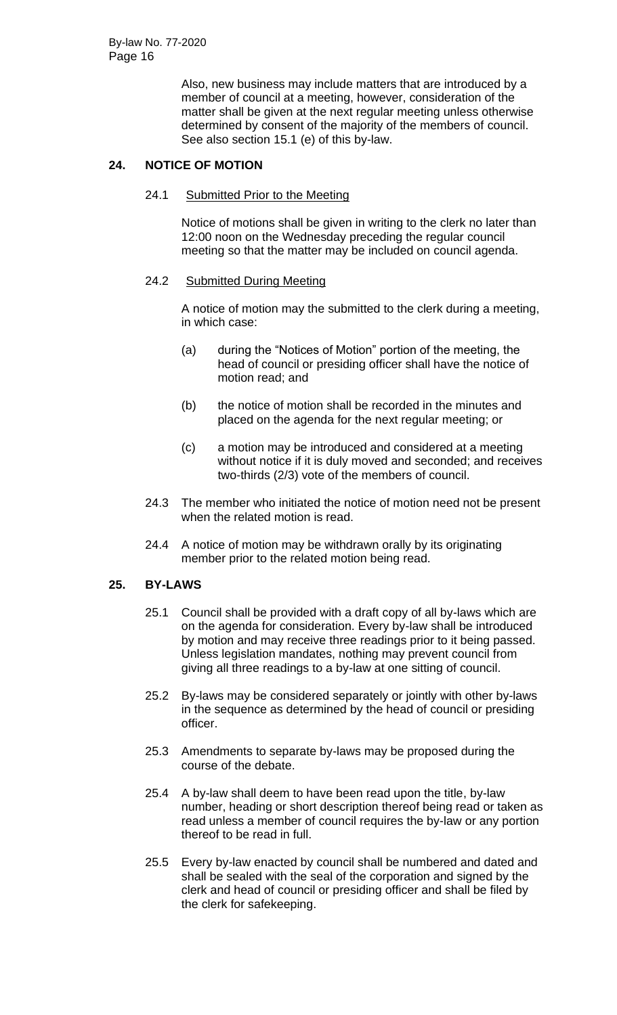Also, new business may include matters that are introduced by a member of council at a meeting, however, consideration of the matter shall be given at the next regular meeting unless otherwise determined by consent of the majority of the members of council. See also section 15.1 (e) of this by-law.

# **24. NOTICE OF MOTION**

#### 24.1 Submitted Prior to the Meeting

Notice of motions shall be given in writing to the clerk no later than 12:00 noon on the Wednesday preceding the regular council meeting so that the matter may be included on council agenda.

## 24.2 Submitted During Meeting

A notice of motion may the submitted to the clerk during a meeting, in which case:

- (a) during the "Notices of Motion" portion of the meeting, the head of council or presiding officer shall have the notice of motion read; and
- (b) the notice of motion shall be recorded in the minutes and placed on the agenda for the next regular meeting; or
- (c) a motion may be introduced and considered at a meeting without notice if it is duly moved and seconded; and receives two-thirds (2/3) vote of the members of council.
- 24.3 The member who initiated the notice of motion need not be present when the related motion is read.
- 24.4 A notice of motion may be withdrawn orally by its originating member prior to the related motion being read.

## **25. BY-LAWS**

- 25.1 Council shall be provided with a draft copy of all by-laws which are on the agenda for consideration. Every by-law shall be introduced by motion and may receive three readings prior to it being passed. Unless legislation mandates, nothing may prevent council from giving all three readings to a by-law at one sitting of council.
- 25.2 By-laws may be considered separately or jointly with other by-laws in the sequence as determined by the head of council or presiding officer.
- 25.3 Amendments to separate by-laws may be proposed during the course of the debate.
- 25.4 A by-law shall deem to have been read upon the title, by-law number, heading or short description thereof being read or taken as read unless a member of council requires the by-law or any portion thereof to be read in full.
- 25.5 Every by-law enacted by council shall be numbered and dated and shall be sealed with the seal of the corporation and signed by the clerk and head of council or presiding officer and shall be filed by the clerk for safekeeping.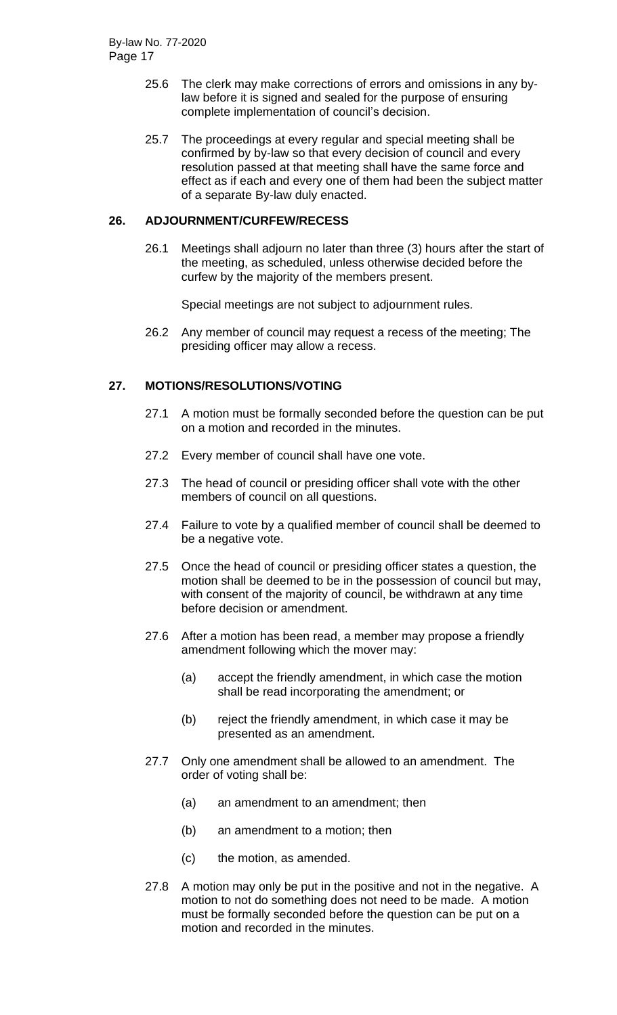- 25.6 The clerk may make corrections of errors and omissions in any bylaw before it is signed and sealed for the purpose of ensuring complete implementation of council's decision.
- 25.7 The proceedings at every regular and special meeting shall be confirmed by by-law so that every decision of council and every resolution passed at that meeting shall have the same force and effect as if each and every one of them had been the subject matter of a separate By-law duly enacted.

#### **26. ADJOURNMENT/CURFEW/RECESS**

26.1 Meetings shall adjourn no later than three (3) hours after the start of the meeting, as scheduled, unless otherwise decided before the curfew by the majority of the members present.

Special meetings are not subject to adjournment rules.

26.2 Any member of council may request a recess of the meeting; The presiding officer may allow a recess.

# **27. MOTIONS/RESOLUTIONS/VOTING**

- 27.1 A motion must be formally seconded before the question can be put on a motion and recorded in the minutes.
- 27.2 Every member of council shall have one vote.
- 27.3 The head of council or presiding officer shall vote with the other members of council on all questions.
- 27.4 Failure to vote by a qualified member of council shall be deemed to be a negative vote.
- 27.5 Once the head of council or presiding officer states a question, the motion shall be deemed to be in the possession of council but may, with consent of the majority of council, be withdrawn at any time before decision or amendment.
- 27.6 After a motion has been read, a member may propose a friendly amendment following which the mover may:
	- (a) accept the friendly amendment, in which case the motion shall be read incorporating the amendment; or
	- (b) reject the friendly amendment, in which case it may be presented as an amendment.
- 27.7 Only one amendment shall be allowed to an amendment. The order of voting shall be:
	- (a) an amendment to an amendment; then
	- (b) an amendment to a motion; then
	- (c) the motion, as amended.
- 27.8 A motion may only be put in the positive and not in the negative. A motion to not do something does not need to be made. A motion must be formally seconded before the question can be put on a motion and recorded in the minutes.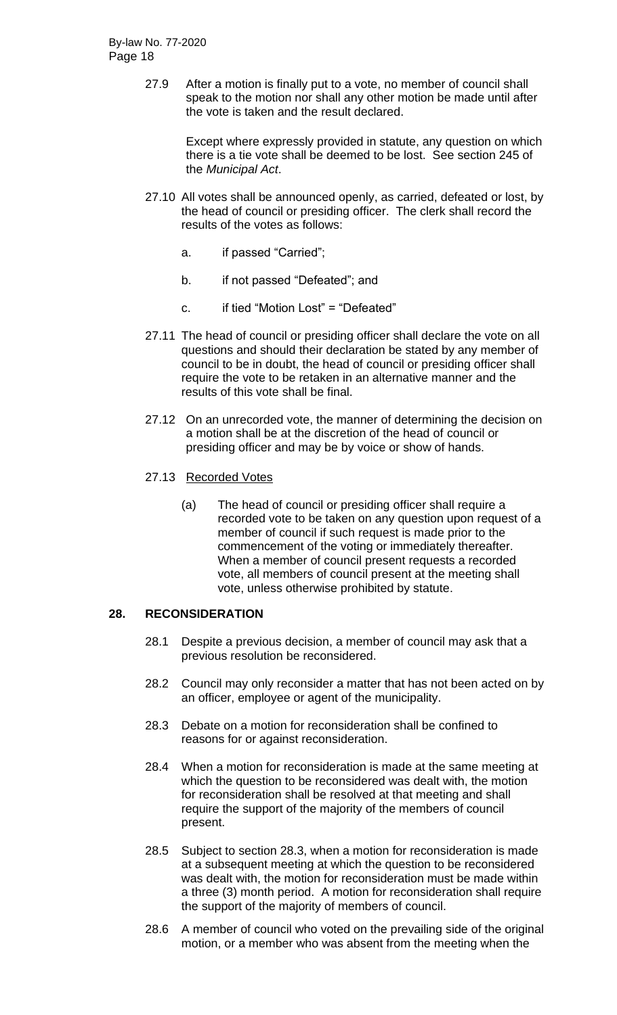27.9 After a motion is finally put to a vote, no member of council shall speak to the motion nor shall any other motion be made until after the vote is taken and the result declared.

> Except where expressly provided in statute, any question on which there is a tie vote shall be deemed to be lost. See section 245 of the *Municipal Act*.

- 27.10 All votes shall be announced openly, as carried, defeated or lost, by the head of council or presiding officer. The clerk shall record the results of the votes as follows:
	- a. if passed "Carried";
	- b. if not passed "Defeated"; and
	- c. if tied "Motion Lost" = "Defeated"
- 27.11 The head of council or presiding officer shall declare the vote on all questions and should their declaration be stated by any member of council to be in doubt, the head of council or presiding officer shall require the vote to be retaken in an alternative manner and the results of this vote shall be final.
- 27.12 On an unrecorded vote, the manner of determining the decision on a motion shall be at the discretion of the head of council or presiding officer and may be by voice or show of hands.

#### 27.13 Recorded Votes

(a) The head of council or presiding officer shall require a recorded vote to be taken on any question upon request of a member of council if such request is made prior to the commencement of the voting or immediately thereafter. When a member of council present requests a recorded vote, all members of council present at the meeting shall vote, unless otherwise prohibited by statute.

## **28. RECONSIDERATION**

- 28.1 Despite a previous decision, a member of council may ask that a previous resolution be reconsidered.
- 28.2 Council may only reconsider a matter that has not been acted on by an officer, employee or agent of the municipality.
- 28.3 Debate on a motion for reconsideration shall be confined to reasons for or against reconsideration.
- 28.4 When a motion for reconsideration is made at the same meeting at which the question to be reconsidered was dealt with, the motion for reconsideration shall be resolved at that meeting and shall require the support of the majority of the members of council present.
- 28.5 Subject to section 28.3, when a motion for reconsideration is made at a subsequent meeting at which the question to be reconsidered was dealt with, the motion for reconsideration must be made within a three (3) month period. A motion for reconsideration shall require the support of the majority of members of council.
- 28.6 A member of council who voted on the prevailing side of the original motion, or a member who was absent from the meeting when the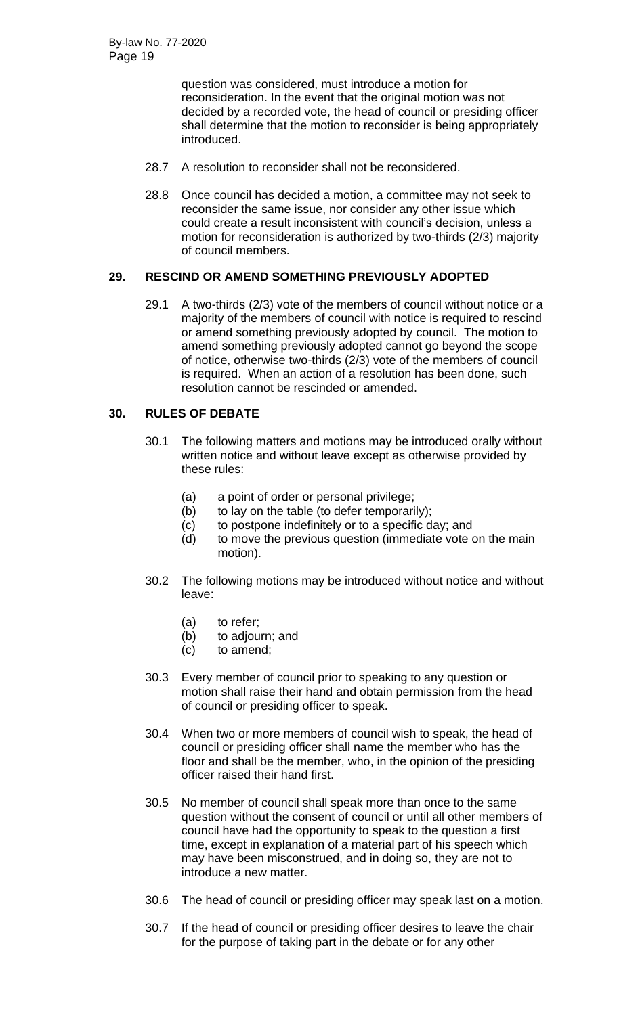question was considered, must introduce a motion for reconsideration. In the event that the original motion was not decided by a recorded vote, the head of council or presiding officer shall determine that the motion to reconsider is being appropriately introduced.

- 28.7 A resolution to reconsider shall not be reconsidered.
- 28.8 Once council has decided a motion, a committee may not seek to reconsider the same issue, nor consider any other issue which could create a result inconsistent with council's decision, unless a motion for reconsideration is authorized by two-thirds (2/3) majority of council members.

## **29. RESCIND OR AMEND SOMETHING PREVIOUSLY ADOPTED**

29.1 A two-thirds (2/3) vote of the members of council without notice or a majority of the members of council with notice is required to rescind or amend something previously adopted by council. The motion to amend something previously adopted cannot go beyond the scope of notice, otherwise two-thirds (2/3) vote of the members of council is required. When an action of a resolution has been done, such resolution cannot be rescinded or amended.

# **30. RULES OF DEBATE**

- 30.1 The following matters and motions may be introduced orally without written notice and without leave except as otherwise provided by these rules:
	- (a) a point of order or personal privilege;
	- (b) to lay on the table (to defer temporarily);
	- (c) to postpone indefinitely or to a specific day; and
	- (d) to move the previous question (immediate vote on the main motion).
- 30.2 The following motions may be introduced without notice and without leave:
	- (a) to refer;
	- (b) to adjourn; and
	- (c) to amend;
- 30.3 Every member of council prior to speaking to any question or motion shall raise their hand and obtain permission from the head of council or presiding officer to speak.
- 30.4 When two or more members of council wish to speak, the head of council or presiding officer shall name the member who has the floor and shall be the member, who, in the opinion of the presiding officer raised their hand first.
- 30.5 No member of council shall speak more than once to the same question without the consent of council or until all other members of council have had the opportunity to speak to the question a first time, except in explanation of a material part of his speech which may have been misconstrued, and in doing so, they are not to introduce a new matter.
- 30.6 The head of council or presiding officer may speak last on a motion.
- 30.7 If the head of council or presiding officer desires to leave the chair for the purpose of taking part in the debate or for any other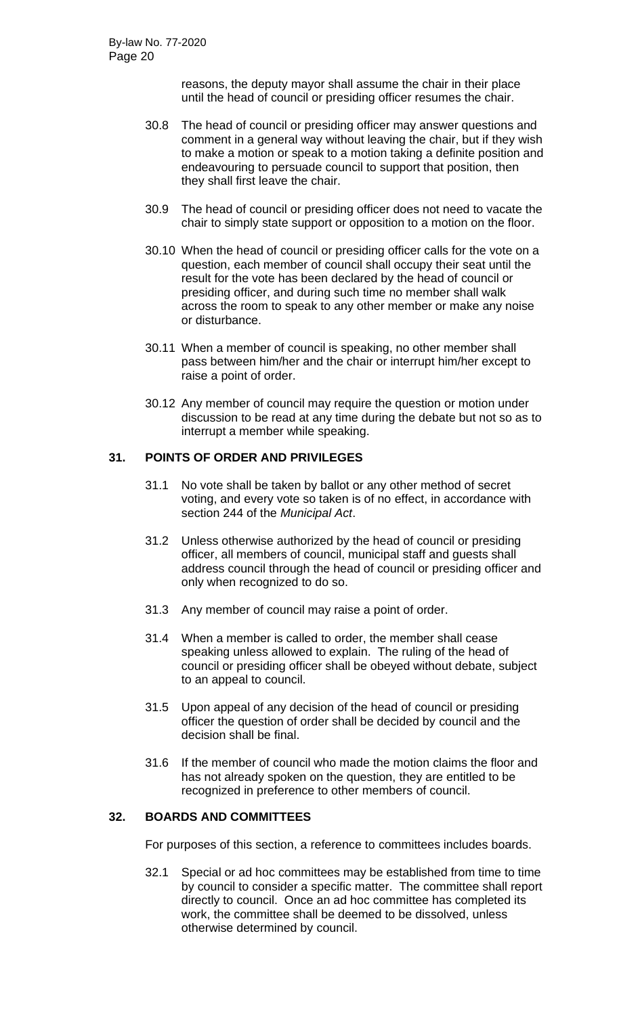reasons, the deputy mayor shall assume the chair in their place until the head of council or presiding officer resumes the chair.

- 30.8 The head of council or presiding officer may answer questions and comment in a general way without leaving the chair, but if they wish to make a motion or speak to a motion taking a definite position and endeavouring to persuade council to support that position, then they shall first leave the chair.
- 30.9 The head of council or presiding officer does not need to vacate the chair to simply state support or opposition to a motion on the floor.
- 30.10 When the head of council or presiding officer calls for the vote on a question, each member of council shall occupy their seat until the result for the vote has been declared by the head of council or presiding officer, and during such time no member shall walk across the room to speak to any other member or make any noise or disturbance.
- 30.11 When a member of council is speaking, no other member shall pass between him/her and the chair or interrupt him/her except to raise a point of order.
- 30.12 Any member of council may require the question or motion under discussion to be read at any time during the debate but not so as to interrupt a member while speaking.

## **31. POINTS OF ORDER AND PRIVILEGES**

- 31.1 No vote shall be taken by ballot or any other method of secret voting, and every vote so taken is of no effect, in accordance with section 244 of the *Municipal Act*.
- 31.2 Unless otherwise authorized by the head of council or presiding officer, all members of council, municipal staff and guests shall address council through the head of council or presiding officer and only when recognized to do so.
- 31.3 Any member of council may raise a point of order.
- 31.4 When a member is called to order, the member shall cease speaking unless allowed to explain. The ruling of the head of council or presiding officer shall be obeyed without debate, subject to an appeal to council.
- 31.5 Upon appeal of any decision of the head of council or presiding officer the question of order shall be decided by council and the decision shall be final.
- 31.6 If the member of council who made the motion claims the floor and has not already spoken on the question, they are entitled to be recognized in preference to other members of council.

## **32. BOARDS AND COMMITTEES**

For purposes of this section, a reference to committees includes boards.

32.1 Special or ad hoc committees may be established from time to time by council to consider a specific matter. The committee shall report directly to council. Once an ad hoc committee has completed its work, the committee shall be deemed to be dissolved, unless otherwise determined by council.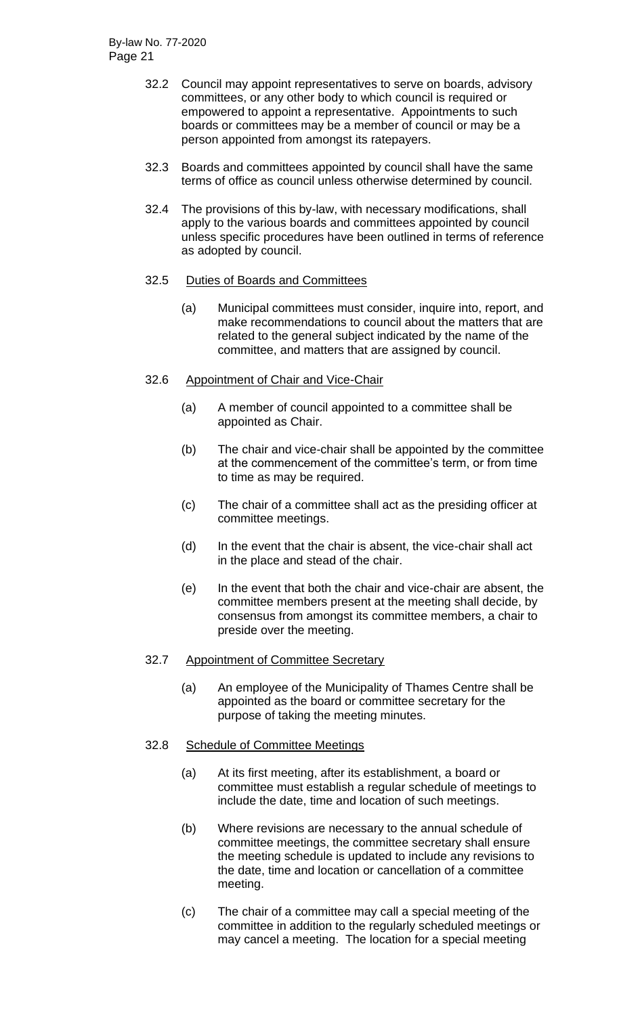- 32.2 Council may appoint representatives to serve on boards, advisory committees, or any other body to which council is required or empowered to appoint a representative. Appointments to such boards or committees may be a member of council or may be a person appointed from amongst its ratepayers.
- 32.3 Boards and committees appointed by council shall have the same terms of office as council unless otherwise determined by council.
- 32.4 The provisions of this by-law, with necessary modifications, shall apply to the various boards and committees appointed by council unless specific procedures have been outlined in terms of reference as adopted by council.

#### 32.5 Duties of Boards and Committees

(a) Municipal committees must consider, inquire into, report, and make recommendations to council about the matters that are related to the general subject indicated by the name of the committee, and matters that are assigned by council.

#### 32.6 Appointment of Chair and Vice-Chair

- (a) A member of council appointed to a committee shall be appointed as Chair.
- (b) The chair and vice-chair shall be appointed by the committee at the commencement of the committee's term, or from time to time as may be required.
- (c) The chair of a committee shall act as the presiding officer at committee meetings.
- (d) In the event that the chair is absent, the vice-chair shall act in the place and stead of the chair.
- (e) In the event that both the chair and vice-chair are absent, the committee members present at the meeting shall decide, by consensus from amongst its committee members, a chair to preside over the meeting.

## 32.7 Appointment of Committee Secretary

(a) An employee of the Municipality of Thames Centre shall be appointed as the board or committee secretary for the purpose of taking the meeting minutes.

## 32.8 Schedule of Committee Meetings

- (a) At its first meeting, after its establishment, a board or committee must establish a regular schedule of meetings to include the date, time and location of such meetings.
- (b) Where revisions are necessary to the annual schedule of committee meetings, the committee secretary shall ensure the meeting schedule is updated to include any revisions to the date, time and location or cancellation of a committee meeting.
- (c) The chair of a committee may call a special meeting of the committee in addition to the regularly scheduled meetings or may cancel a meeting. The location for a special meeting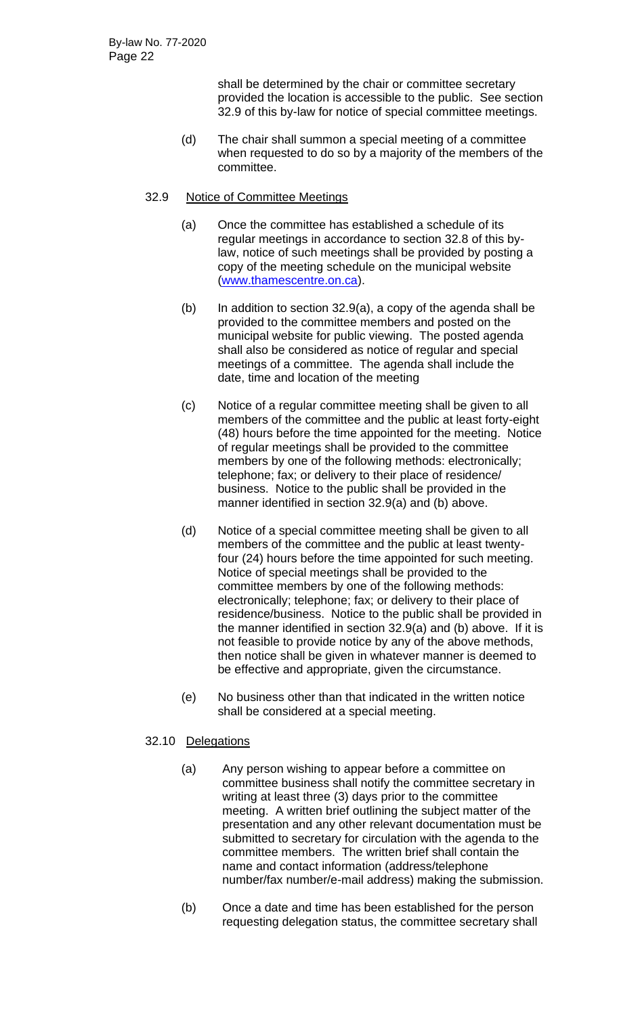shall be determined by the chair or committee secretary provided the location is accessible to the public. See section 32.9 of this by-law for notice of special committee meetings.

(d) The chair shall summon a special meeting of a committee when requested to do so by a majority of the members of the committee.

## 32.9 Notice of Committee Meetings

- (a) Once the committee has established a schedule of its regular meetings in accordance to section 32.8 of this bylaw, notice of such meetings shall be provided by posting a copy of the meeting schedule on the municipal website [\(www.thamescentre.on.ca\)](http://www.thamescentre.on.ca/).
- (b) In addition to section 32.9(a), a copy of the agenda shall be provided to the committee members and posted on the municipal website for public viewing. The posted agenda shall also be considered as notice of regular and special meetings of a committee. The agenda shall include the date, time and location of the meeting
- (c) Notice of a regular committee meeting shall be given to all members of the committee and the public at least forty-eight (48) hours before the time appointed for the meeting. Notice of regular meetings shall be provided to the committee members by one of the following methods: electronically; telephone; fax; or delivery to their place of residence/ business. Notice to the public shall be provided in the manner identified in section 32.9(a) and (b) above.
- (d) Notice of a special committee meeting shall be given to all members of the committee and the public at least twentyfour (24) hours before the time appointed for such meeting. Notice of special meetings shall be provided to the committee members by one of the following methods: electronically; telephone; fax; or delivery to their place of residence/business. Notice to the public shall be provided in the manner identified in section 32.9(a) and (b) above. If it is not feasible to provide notice by any of the above methods, then notice shall be given in whatever manner is deemed to be effective and appropriate, given the circumstance.
- (e) No business other than that indicated in the written notice shall be considered at a special meeting.

## 32.10 Delegations

- (a) Any person wishing to appear before a committee on committee business shall notify the committee secretary in writing at least three (3) days prior to the committee meeting. A written brief outlining the subject matter of the presentation and any other relevant documentation must be submitted to secretary for circulation with the agenda to the committee members. The written brief shall contain the name and contact information (address/telephone number/fax number/e-mail address) making the submission.
- (b) Once a date and time has been established for the person requesting delegation status, the committee secretary shall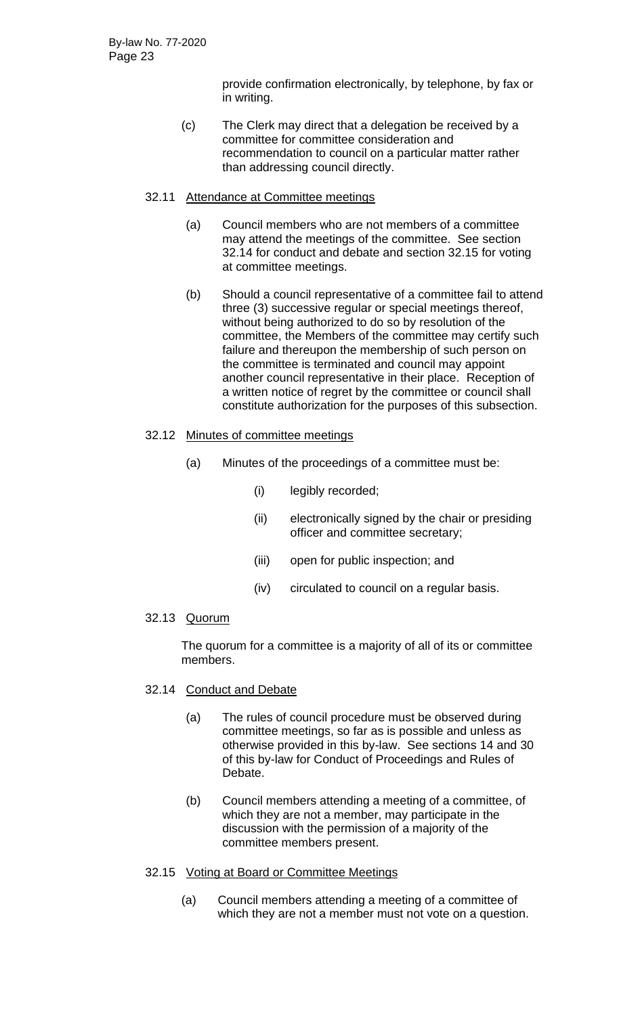provide confirmation electronically, by telephone, by fax or in writing.

(c) The Clerk may direct that a delegation be received by a committee for committee consideration and recommendation to council on a particular matter rather than addressing council directly.

## 32.11 Attendance at Committee meetings

- (a) Council members who are not members of a committee may attend the meetings of the committee. See section 32.14 for conduct and debate and section 32.15 for voting at committee meetings.
- (b) Should a council representative of a committee fail to attend three (3) successive regular or special meetings thereof, without being authorized to do so by resolution of the committee, the Members of the committee may certify such failure and thereupon the membership of such person on the committee is terminated and council may appoint another council representative in their place. Reception of a written notice of regret by the committee or council shall constitute authorization for the purposes of this subsection.

#### 32.12 Minutes of committee meetings

- (a) Minutes of the proceedings of a committee must be:
	- (i) legibly recorded;
	- (ii) electronically signed by the chair or presiding officer and committee secretary;
	- (iii) open for public inspection; and
	- (iv) circulated to council on a regular basis.

#### 32.13 Quorum

The quorum for a committee is a majority of all of its or committee members.

#### 32.14 Conduct and Debate

- (a) The rules of council procedure must be observed during committee meetings, so far as is possible and unless as otherwise provided in this by-law. See sections 14 and 30 of this by-law for Conduct of Proceedings and Rules of Debate.
- (b) Council members attending a meeting of a committee, of which they are not a member, may participate in the discussion with the permission of a majority of the committee members present.

## 32.15 Voting at Board or Committee Meetings

(a) Council members attending a meeting of a committee of which they are not a member must not vote on a question.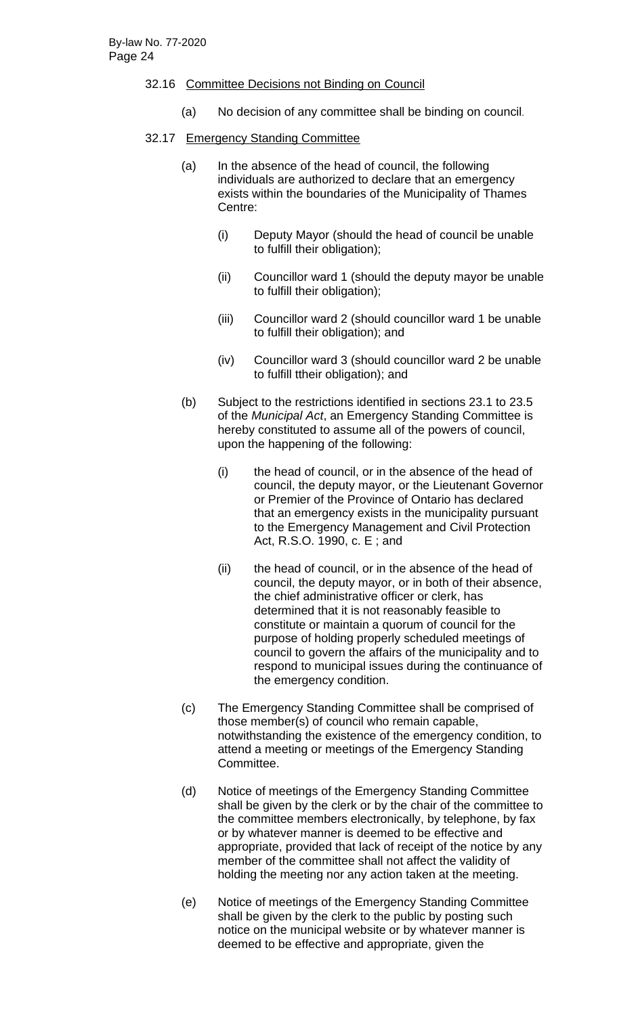#### 32.16 Committee Decisions not Binding on Council

(a) No decision of any committee shall be binding on council.

#### 32.17 Emergency Standing Committee

- (a) In the absence of the head of council, the following individuals are authorized to declare that an emergency exists within the boundaries of the Municipality of Thames Centre:
	- (i) Deputy Mayor (should the head of council be unable to fulfill their obligation);
	- (ii) Councillor ward 1 (should the deputy mayor be unable to fulfill their obligation);
	- (iii) Councillor ward 2 (should councillor ward 1 be unable to fulfill their obligation); and
	- (iv) Councillor ward 3 (should councillor ward 2 be unable to fulfill ttheir obligation); and
- (b) Subject to the restrictions identified in sections 23.1 to 23.5 of the *Municipal Act*, an Emergency Standing Committee is hereby constituted to assume all of the powers of council, upon the happening of the following:
	- (i) the head of council, or in the absence of the head of council, the deputy mayor, or the Lieutenant Governor or Premier of the Province of Ontario has declared that an emergency exists in the municipality pursuant to the Emergency Management and Civil Protection Act, R.S.O. 1990, c. E ; and
	- (ii) the head of council, or in the absence of the head of council, the deputy mayor, or in both of their absence, the chief administrative officer or clerk, has determined that it is not reasonably feasible to constitute or maintain a quorum of council for the purpose of holding properly scheduled meetings of council to govern the affairs of the municipality and to respond to municipal issues during the continuance of the emergency condition.
- (c) The Emergency Standing Committee shall be comprised of those member(s) of council who remain capable, notwithstanding the existence of the emergency condition, to attend a meeting or meetings of the Emergency Standing Committee.
- (d) Notice of meetings of the Emergency Standing Committee shall be given by the clerk or by the chair of the committee to the committee members electronically, by telephone, by fax or by whatever manner is deemed to be effective and appropriate, provided that lack of receipt of the notice by any member of the committee shall not affect the validity of holding the meeting nor any action taken at the meeting.
- (e) Notice of meetings of the Emergency Standing Committee shall be given by the clerk to the public by posting such notice on the municipal website or by whatever manner is deemed to be effective and appropriate, given the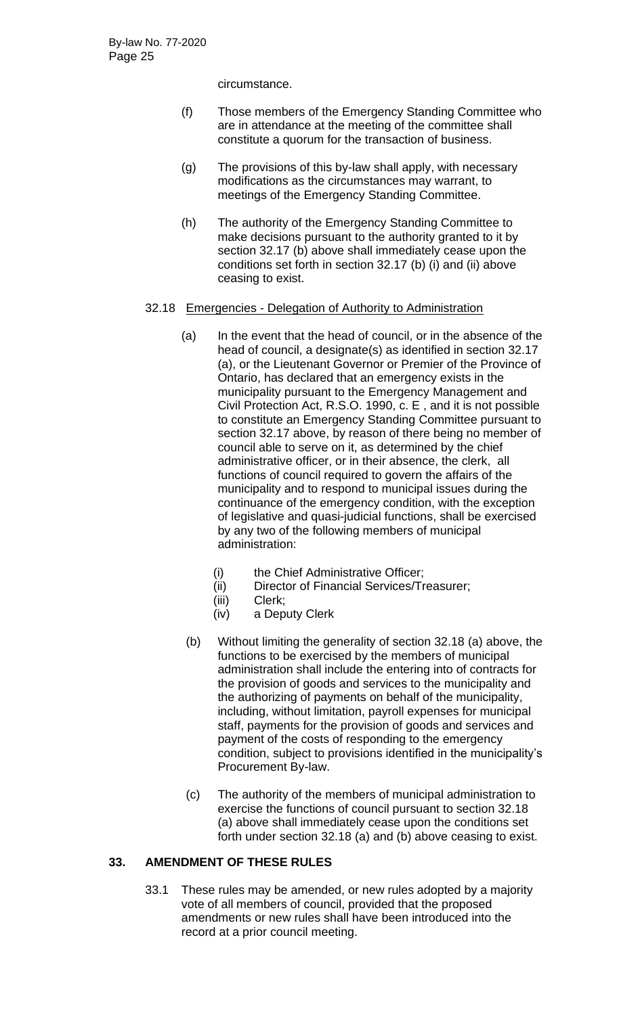circumstance.

- (f) Those members of the Emergency Standing Committee who are in attendance at the meeting of the committee shall constitute a quorum for the transaction of business.
- (g) The provisions of this by-law shall apply, with necessary modifications as the circumstances may warrant, to meetings of the Emergency Standing Committee.
- (h) The authority of the Emergency Standing Committee to make decisions pursuant to the authority granted to it by section 32.17 (b) above shall immediately cease upon the conditions set forth in section 32.17 (b) (i) and (ii) above ceasing to exist.

## 32.18 Emergencies - Delegation of Authority to Administration

- (a) In the event that the head of council, or in the absence of the head of council, a designate(s) as identified in section 32.17 (a), or the Lieutenant Governor or Premier of the Province of Ontario, has declared that an emergency exists in the municipality pursuant to the Emergency Management and Civil Protection Act, R.S.O. 1990, c. E , and it is not possible to constitute an Emergency Standing Committee pursuant to section 32.17 above, by reason of there being no member of council able to serve on it, as determined by the chief administrative officer, or in their absence, the clerk, all functions of council required to govern the affairs of the municipality and to respond to municipal issues during the continuance of the emergency condition, with the exception of legislative and quasi-judicial functions, shall be exercised by any two of the following members of municipal administration:
	- (i) the Chief Administrative Officer;
	- (ii) Director of Financial Services/Treasurer;
	- (iii) Clerk;
	- (iv) a Deputy Clerk
- (b) Without limiting the generality of section 32.18 (a) above, the functions to be exercised by the members of municipal administration shall include the entering into of contracts for the provision of goods and services to the municipality and the authorizing of payments on behalf of the municipality, including, without limitation, payroll expenses for municipal staff, payments for the provision of goods and services and payment of the costs of responding to the emergency condition, subject to provisions identified in the municipality's Procurement By-law.
- (c) The authority of the members of municipal administration to exercise the functions of council pursuant to section 32.18 (a) above shall immediately cease upon the conditions set forth under section 32.18 (a) and (b) above ceasing to exist.

# **33. AMENDMENT OF THESE RULES**

33.1 These rules may be amended, or new rules adopted by a majority vote of all members of council, provided that the proposed amendments or new rules shall have been introduced into the record at a prior council meeting.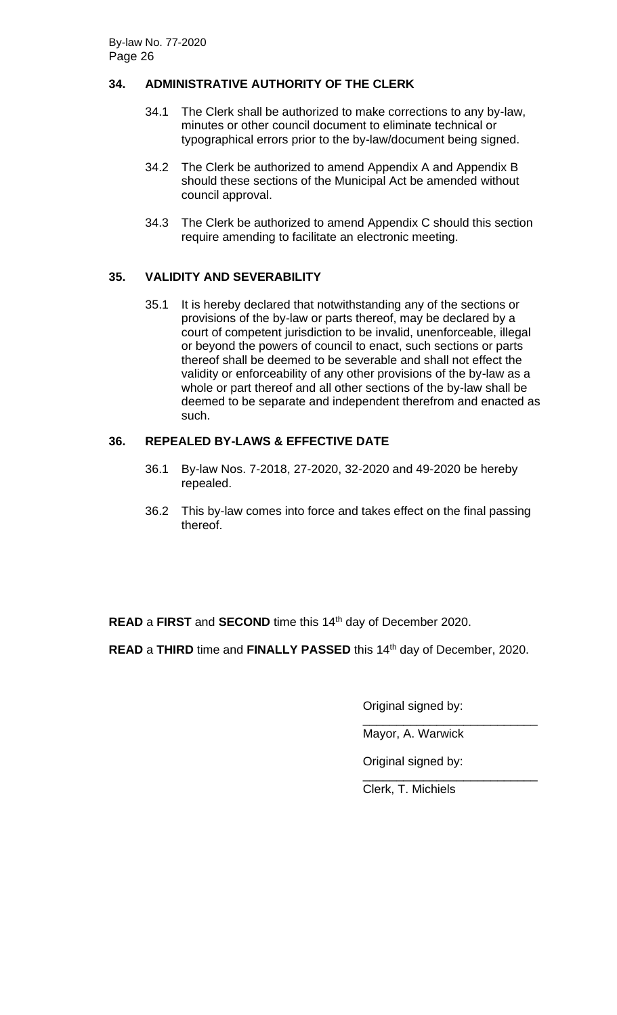# **34. ADMINISTRATIVE AUTHORITY OF THE CLERK**

- 34.1 The Clerk shall be authorized to make corrections to any by-law, minutes or other council document to eliminate technical or typographical errors prior to the by-law/document being signed.
- 34.2 The Clerk be authorized to amend Appendix A and Appendix B should these sections of the Municipal Act be amended without council approval.
- 34.3 The Clerk be authorized to amend Appendix C should this section require amending to facilitate an electronic meeting.

# **35. VALIDITY AND SEVERABILITY**

35.1 It is hereby declared that notwithstanding any of the sections or provisions of the by-law or parts thereof, may be declared by a court of competent jurisdiction to be invalid, unenforceable, illegal or beyond the powers of council to enact, such sections or parts thereof shall be deemed to be severable and shall not effect the validity or enforceability of any other provisions of the by-law as a whole or part thereof and all other sections of the by-law shall be deemed to be separate and independent therefrom and enacted as such.

# **36. REPEALED BY-LAWS & EFFECTIVE DATE**

- 36.1 By-law Nos. 7-2018, 27-2020, 32-2020 and 49-2020 be hereby repealed.
- 36.2 This by-law comes into force and takes effect on the final passing thereof.

**READ** a FIRST and **SECOND** time this 14<sup>th</sup> day of December 2020.

**READ** a THIRD time and FINALLY PASSED this 14<sup>th</sup> day of December, 2020.

Original signed by:

\_\_\_\_\_\_\_\_\_\_\_\_\_\_\_\_\_\_\_\_\_\_\_\_\_\_ Mayor, A. Warwick

Original signed by:

\_\_\_\_\_\_\_\_\_\_\_\_\_\_\_\_\_\_\_\_\_\_\_\_\_\_ Clerk, T. Michiels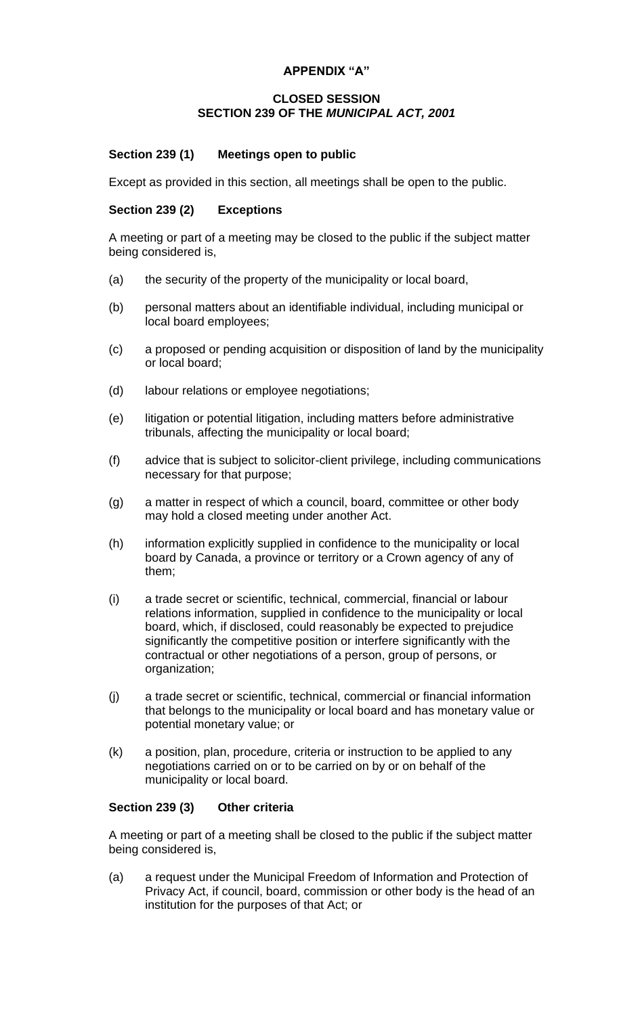## **APPENDIX "A"**

#### **CLOSED SESSION SECTION 239 OF THE** *MUNICIPAL ACT, 2001*

## **Section 239 (1) Meetings open to public**

Except as provided in this section, all meetings shall be open to the public.

#### **Section 239 (2) Exceptions**

A meeting or part of a meeting may be closed to the public if the subject matter being considered is,

- (a) the security of the property of the municipality or local board,
- (b) personal matters about an identifiable individual, including municipal or local board employees;
- (c) a proposed or pending acquisition or disposition of land by the municipality or local board;
- (d) labour relations or employee negotiations;
- (e) litigation or potential litigation, including matters before administrative tribunals, affecting the municipality or local board;
- (f) advice that is subject to solicitor-client privilege, including communications necessary for that purpose;
- (g) a matter in respect of which a council, board, committee or other body may hold a closed meeting under another Act.
- (h) information explicitly supplied in confidence to the municipality or local board by Canada, a province or territory or a Crown agency of any of them;
- (i) a trade secret or scientific, technical, commercial, financial or labour relations information, supplied in confidence to the municipality or local board, which, if disclosed, could reasonably be expected to prejudice significantly the competitive position or interfere significantly with the contractual or other negotiations of a person, group of persons, or organization;
- (j) a trade secret or scientific, technical, commercial or financial information that belongs to the municipality or local board and has monetary value or potential monetary value; or
- (k) a position, plan, procedure, criteria or instruction to be applied to any negotiations carried on or to be carried on by or on behalf of the municipality or local board.

## **Section 239 (3) Other criteria**

A meeting or part of a meeting shall be closed to the public if the subject matter being considered is,

(a) a request under the Municipal Freedom of Information and Protection of Privacy Act, if council, board, commission or other body is the head of an institution for the purposes of that Act; or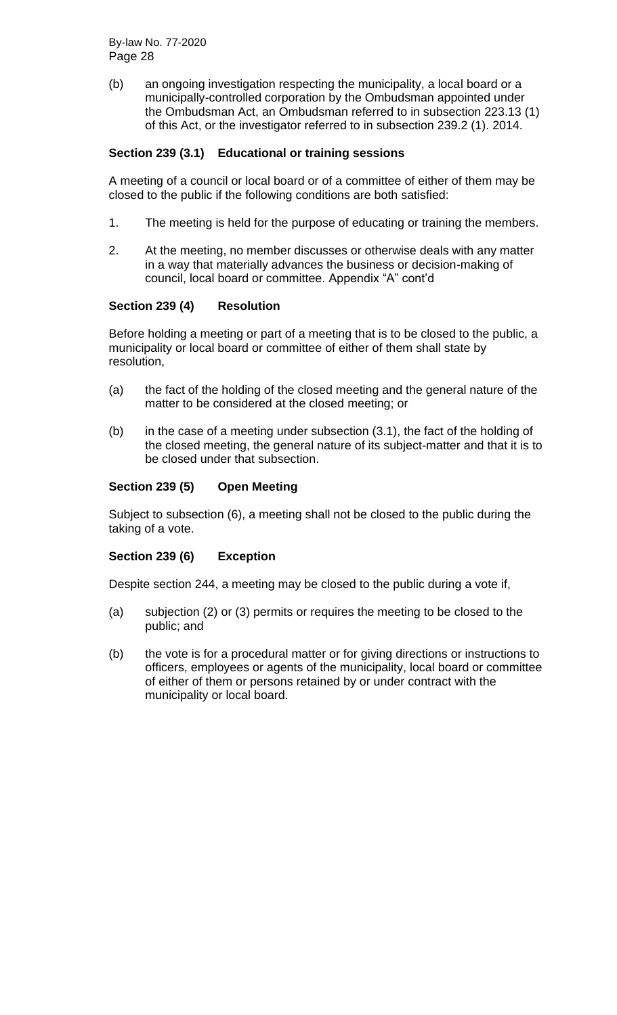(b) an ongoing investigation respecting the municipality, a local board or a municipally-controlled corporation by the Ombudsman appointed under the Ombudsman Act, an Ombudsman referred to in subsection 223.13 (1) of this Act, or the investigator referred to in subsection 239.2 (1). 2014.

## **Section 239 (3.1) Educational or training sessions**

A meeting of a council or local board or of a committee of either of them may be closed to the public if the following conditions are both satisfied:

- 1. The meeting is held for the purpose of educating or training the members.
- 2. At the meeting, no member discusses or otherwise deals with any matter in a way that materially advances the business or decision-making of council, local board or committee. Appendix "A" cont'd

#### **Section 239 (4) Resolution**

Before holding a meeting or part of a meeting that is to be closed to the public, a municipality or local board or committee of either of them shall state by resolution,

- (a) the fact of the holding of the closed meeting and the general nature of the matter to be considered at the closed meeting; or
- (b) in the case of a meeting under subsection (3.1), the fact of the holding of the closed meeting, the general nature of its subject-matter and that it is to be closed under that subsection.

#### **Section 239 (5) Open Meeting**

Subject to subsection (6), a meeting shall not be closed to the public during the taking of a vote.

#### **Section 239 (6) Exception**

Despite section 244, a meeting may be closed to the public during a vote if,

- (a) subjection (2) or (3) permits or requires the meeting to be closed to the public; and
- (b) the vote is for a procedural matter or for giving directions or instructions to officers, employees or agents of the municipality, local board or committee of either of them or persons retained by or under contract with the municipality or local board.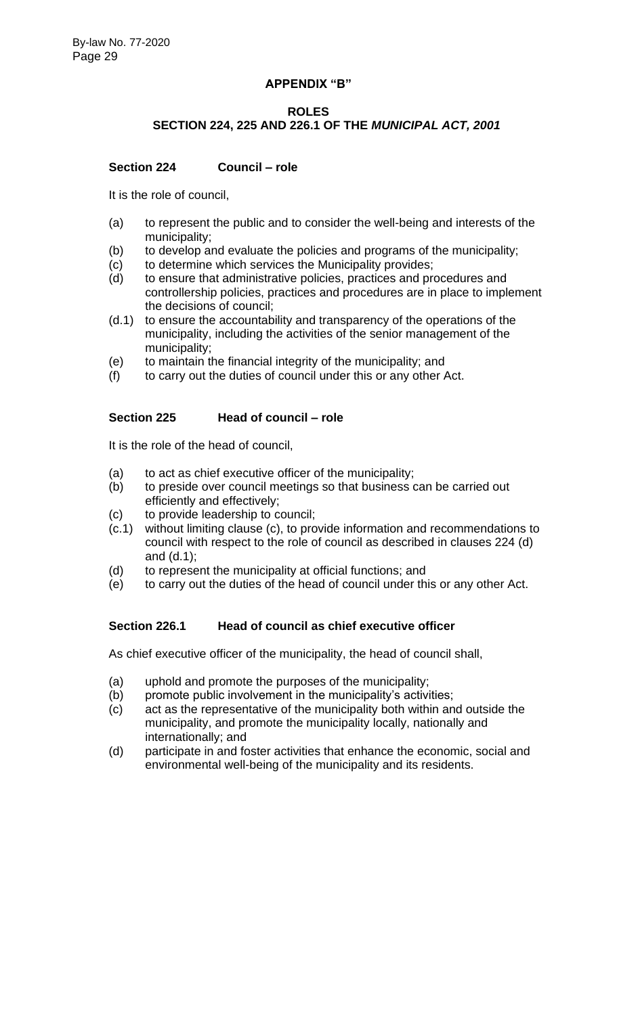#### **APPENDIX "B"**

#### **ROLES**

# **SECTION 224, 225 AND 226.1 OF THE** *MUNICIPAL ACT, 2001*

## **Section 224 Council – role**

It is the role of council,

- (a) to represent the public and to consider the well-being and interests of the municipality;
- (b) to develop and evaluate the policies and programs of the municipality;
- (c) to determine which services the Municipality provides;
- (d) to ensure that administrative policies, practices and procedures and controllership policies, practices and procedures are in place to implement the decisions of council;
- (d.1) to ensure the accountability and transparency of the operations of the municipality, including the activities of the senior management of the municipality;
- (e) to maintain the financial integrity of the municipality; and
- (f) to carry out the duties of council under this or any other Act.

#### **Section 225 Head of council – role**

It is the role of the head of council,

- (a) to act as chief executive officer of the municipality;
- (b) to preside over council meetings so that business can be carried out efficiently and effectively;
- (c) to provide leadership to council;
- (c.1) without limiting clause (c), to provide information and recommendations to council with respect to the role of council as described in clauses 224 (d) and (d.1);
- (d) to represent the municipality at official functions; and
- (e) to carry out the duties of the head of council under this or any other Act.

## **Section 226.1 Head of council as chief executive officer**

As chief executive officer of the municipality, the head of council shall,

- (a) uphold and promote the purposes of the municipality;
- (b) promote public involvement in the municipality's activities;
- (c) act as the representative of the municipality both within and outside the municipality, and promote the municipality locally, nationally and internationally; and
- (d) participate in and foster activities that enhance the economic, social and environmental well-being of the municipality and its residents.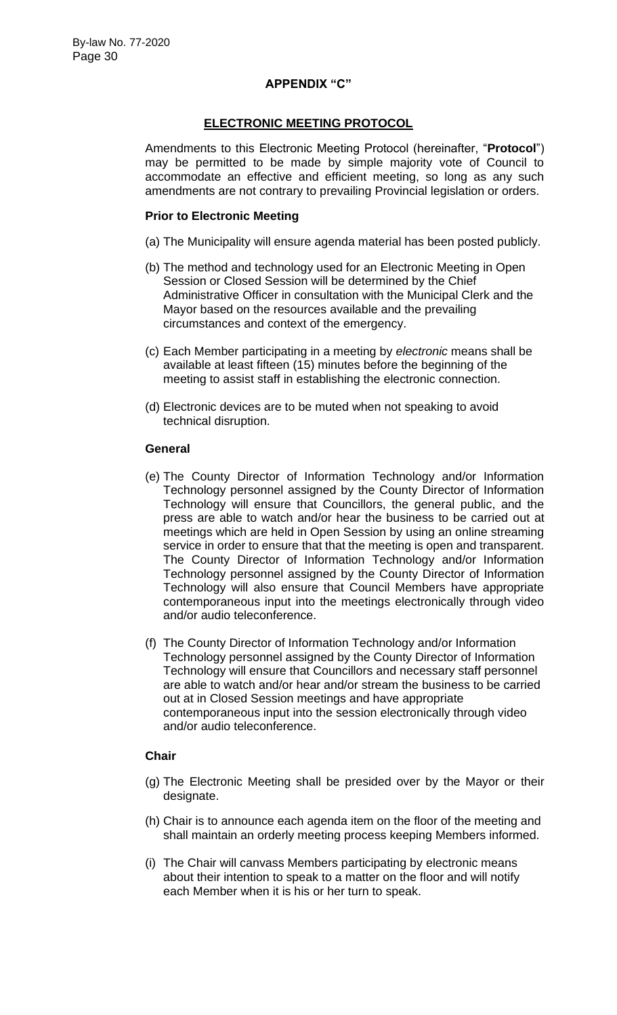#### **APPENDIX "C"**

#### **ELECTRONIC MEETING PROTOCOL**

Amendments to this Electronic Meeting Protocol (hereinafter, "**Protocol**") may be permitted to be made by simple majority vote of Council to accommodate an effective and efficient meeting, so long as any such amendments are not contrary to prevailing Provincial legislation or orders.

#### **Prior to Electronic Meeting**

- (a) The Municipality will ensure agenda material has been posted publicly.
- (b) The method and technology used for an Electronic Meeting in Open Session or Closed Session will be determined by the Chief Administrative Officer in consultation with the Municipal Clerk and the Mayor based on the resources available and the prevailing circumstances and context of the emergency.
- (c) Each Member participating in a meeting by *electronic* means shall be available at least fifteen (15) minutes before the beginning of the meeting to assist staff in establishing the electronic connection.
- (d) Electronic devices are to be muted when not speaking to avoid technical disruption.

#### **General**

- (e) The County Director of Information Technology and/or Information Technology personnel assigned by the County Director of Information Technology will ensure that Councillors, the general public, and the press are able to watch and/or hear the business to be carried out at meetings which are held in Open Session by using an online streaming service in order to ensure that that the meeting is open and transparent. The County Director of Information Technology and/or Information Technology personnel assigned by the County Director of Information Technology will also ensure that Council Members have appropriate contemporaneous input into the meetings electronically through video and/or audio teleconference.
- (f) The County Director of Information Technology and/or Information Technology personnel assigned by the County Director of Information Technology will ensure that Councillors and necessary staff personnel are able to watch and/or hear and/or stream the business to be carried out at in Closed Session meetings and have appropriate contemporaneous input into the session electronically through video and/or audio teleconference.

#### **Chair**

- (g) The Electronic Meeting shall be presided over by the Mayor or their designate.
- (h) Chair is to announce each agenda item on the floor of the meeting and shall maintain an orderly meeting process keeping Members informed.
- (i) The Chair will canvass Members participating by electronic means about their intention to speak to a matter on the floor and will notify each Member when it is his or her turn to speak.